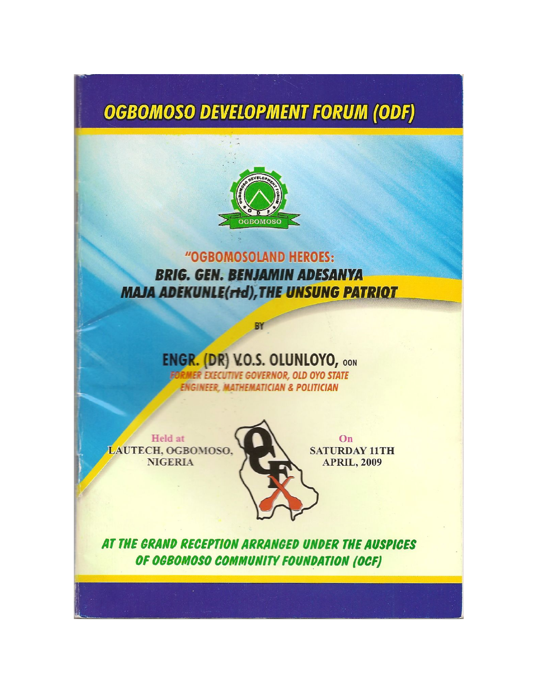# **OGBOMOSO DEVELOPMENT FORUM (ODF)**



"OGBOMOSOLAND HEROES: **BRIG. GEN. BENJAMIN ADESANYA MAJA ADEKUNLE(rtd), THE UNSUNG PATRIOT** 

## **ENGR. (DR) V.O.S. OLUNLOYO, OON**

BY

ER EXECUTIVE GOVERNOR, OLD OYO STATE **ENGINEER. MATHEMATICIAN & POLITICIAN** 

Held at LAUTECH, OGBOMOSO, **NIGERIA** 

 $On$ **SATURDAY 11TH APRIL, 2009** 

AT THE GRAND RECEPTION ARRANGED UNDER THE AUSPICES OF OGBOMOSO COMMUNITY FOUNDATION (OCF)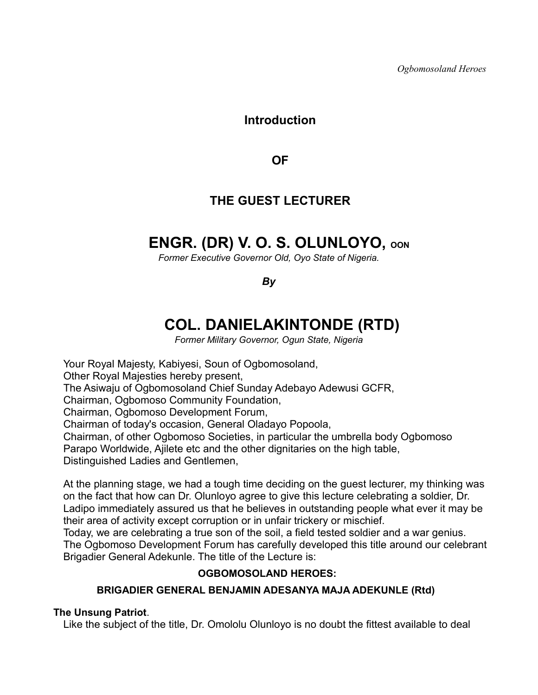*Ogbomosoland Heroes*

### **Introduction**

**OF**

## **THE GUEST LECTURER**

## **ENGR. (DR) V. O. S. OLUNLOYO, OON**

*Former Executive Governor Old, Oyo State of Nigeria.*

*By*

## **COL. DANIELAKINTONDE (RTD)**

*Former Military Governor, Ogun State, Nigeria*

Your Royal Majesty, Kabiyesi, Soun of Ogbomosoland, Other Royal Majesties hereby present, The Asiwaju of Ogbomosoland Chief Sunday Adebayo Adewusi GCFR, Chairman, Ogbomoso Community Foundation, Chairman, Ogbomoso Development Forum, Chairman of today's occasion, General Oladayo Popoola, Chairman, of other Ogbomoso Societies, in particular the umbrella body Ogbomoso Parapo Worldwide, Ajilete etc and the other dignitaries on the high table, Distinguished Ladies and Gentlemen,

At the planning stage, we had a tough time deciding on the guest lecturer, my thinking was on the fact that how can Dr. Olunloyo agree to give this lecture celebrating a soldier, Dr. Ladipo immediately assured us that he believes in outstanding people what ever it may be their area of activity except corruption or in unfair trickery or mischief.

Today, we are celebrating a true son of the soil, a field tested soldier and a war genius. The Ogbomoso Development Forum has carefully developed this title around our celebrant Brigadier General Adekunle. The title of the Lecture is:

#### **OGBOMOSOLAND HEROES:**

#### **BRIGADIER GENERAL BENJAMIN ADESANYA MAJA ADEKUNLE (Rtd)**

#### **The Unsung Patriot**.

Like the subject of the title, Dr. Omololu Olunloyo is no doubt the fittest available to deal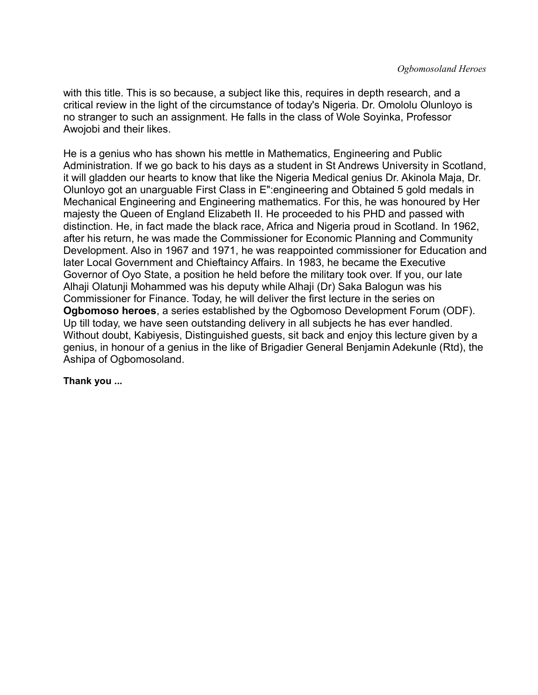with this title. This is so because, a subject like this, requires in depth research, and a critical review in the light of the circumstance of today's Nigeria. Dr. Omololu Olunloyo is no stranger to such an assignment. He falls in the class of Wole Soyinka, Professor Awojobi and their likes.

He is a genius who has shown his mettle in Mathematics, Engineering and Public Administration. If we go back to his days as a student in St Andrews University in Scotland, it will gladden our hearts to know that like the Nigeria Medical genius Dr. Akinola Maja, Dr. Olunloyo got an unarguable First Class in E":engineering and Obtained 5 gold medals in Mechanical Engineering and Engineering mathematics. For this, he was honoured by Her majesty the Queen of England Elizabeth II. He proceeded to his PHD and passed with distinction. He, in fact made the black race, Africa and Nigeria proud in Scotland. In 1962, after his return, he was made the Commissioner for Economic Planning and Community Development. Also in 1967 and 1971, he was reappointed commissioner for Education and later Local Government and Chieftaincy Affairs. In 1983, he became the Executive Governor of Oyo State, a position he held before the military took over. If you, our late Alhaji Olatunji Mohammed was his deputy while Alhaji (Dr) Saka Balogun was his Commissioner for Finance. Today, he will deliver the first lecture in the series on **Ogbomoso heroes**, a series established by the Ogbomoso Development Forum (ODF). Up till today, we have seen outstanding delivery in all subjects he has ever handled. Without doubt, Kabiyesis, Distinguished guests, sit back and enjoy this lecture given by a genius, in honour of a genius in the like of Brigadier General Benjamin Adekunle (Rtd), the Ashipa of Ogbomosoland.

**Thank you ...**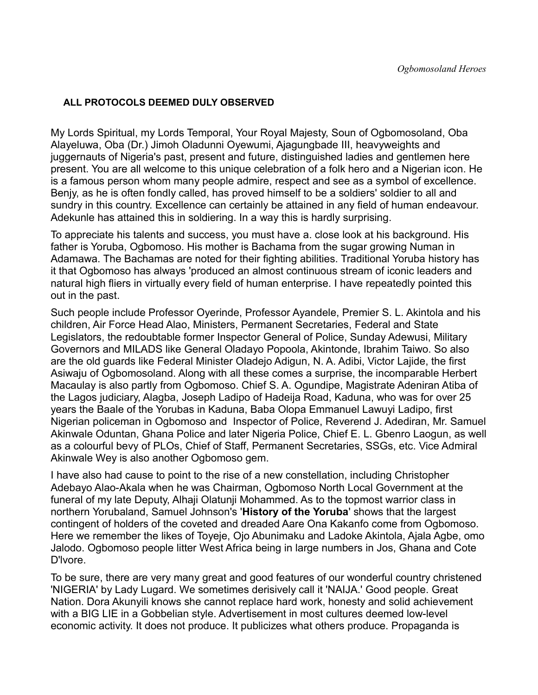#### **ALL PROTOCOLS DEEMED DULY OBSERVED**

My Lords Spiritual, my Lords Temporal, Your Royal Majesty, Soun of Ogbomosoland, Oba Alayeluwa, Oba (Dr.) Jimoh Oladunni Oyewumi, Ajagungbade III, heavyweights and juggernauts of Nigeria's past, present and future, distinguished ladies and gentlemen here present. You are all welcome to this unique celebration of a folk hero and a Nigerian icon. He is a famous person whom many people admire, respect and see as a symbol of excellence. Benjy, as he is often fondly called, has proved himself to be a soldiers' soldier to all and sundry in this country. Excellence can certainly be attained in any field of human endeavour. Adekunle has attained this in soldiering. In a way this is hardly surprising.

To appreciate his talents and success, you must have a. close look at his background. His father is Yoruba, Ogbomoso. His mother is Bachama from the sugar growing Numan in Adamawa. The Bachamas are noted for their fighting abilities. Traditional Yoruba history has it that Ogbomoso has always 'produced an almost continuous stream of iconic leaders and natural high fliers in virtually every field of human enterprise. I have repeatedly pointed this out in the past.

Such people include Professor Oyerinde, Professor Ayandele, Premier S. L. Akintola and his children, Air Force Head Alao, Ministers, Permanent Secretaries, Federal and State Legislators, the redoubtable former Inspector General of Police, Sunday Adewusi, Military Governors and MILADS like General Oladayo Popoola, Akintonde, Ibrahim Taiwo. So also are the old guards like Federal Minister Oladejo Adigun, N. A. Adibi, Victor Lajide, the first Asiwaju of Ogbomosoland. Along with all these comes a surprise, the incomparable Herbert Macaulay is also partly from Ogbomoso. Chief S. A. Ogundipe, Magistrate Adeniran Atiba of the Lagos judiciary, Alagba, Joseph Ladipo of Hadeija Road, Kaduna, who was for over 25 years the Baale of the Yorubas in Kaduna, Baba Olopa Emmanuel Lawuyi Ladipo, first Nigerian policeman in Ogbomoso and Inspector of Police, Reverend J. Adediran, Mr. Samuel Akinwale Oduntan, Ghana Police and later Nigeria Police, Chief E. L. Gbenro Laogun, as well as a colourful bevy of PLOs, Chief of Staff, Permanent Secretaries, SSGs, etc. Vice Admiral Akinwale Wey is also another Ogbomoso gem.

I have also had cause to point to the rise of a new constellation, including Christopher Adebayo Alao-Akala when he was Chairman, Ogbomoso North Local Government at the funeral of my late Deputy, Alhaji Olatunji Mohammed. As to the topmost warrior class in northern Yorubaland, Samuel Johnson's '**History of the Yoruba**' shows that the largest contingent of holders of the coveted and dreaded Aare Ona Kakanfo come from Ogbomoso. Here we remember the likes of Toyeje, Ojo Abunimaku and Ladoke Akintola, Ajala Agbe, omo Jalodo. Ogbomoso people litter West Africa being in large numbers in Jos, Ghana and Cote D'lvore.

To be sure, there are very many great and good features of our wonderful country christened 'NIGERIA' by Lady Lugard. We sometimes derisively call it 'NAIJA.' Good people. Great Nation. Dora Akunyili knows she cannot replace hard work, honesty and solid achievement with a BIG LIE in a Gobbelian style. Advertisement in most cultures deemed low-level economic activity. It does not produce. It publicizes what others produce. Propaganda is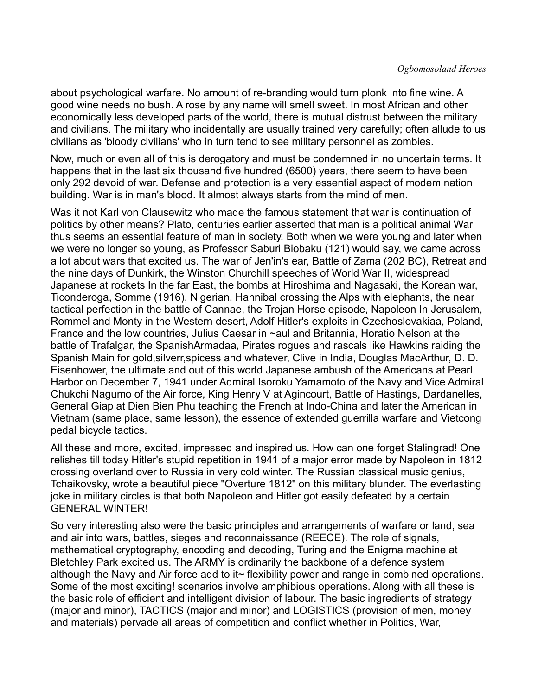about psychological warfare. No amount of re-branding would turn plonk into fine wine. A good wine needs no bush. A rose by any name will smell sweet. In most African and other economically less developed parts of the world, there is mutual distrust between the military and civilians. The military who incidentally are usually trained very carefully; often allude to us civilians as 'bloody civilians' who in turn tend to see military personnel as zombies.

Now, much or even all of this is derogatory and must be condemned in no uncertain terms. It happens that in the last six thousand five hundred (6500) years, there seem to have been only 292 devoid of war. Defense and protection is a very essential aspect of modem nation building. War is in man's blood. It almost always starts from the mind of men.

Was it not Karl von Clausewitz who made the famous statement that war is continuation of politics by other means? Plato, centuries earlier asserted that man is a political animal War thus seems an essential feature of man in society. Both when we were young and later when we were no longer so young, as Professor Saburi Biobaku (121) would say, we came across a lot about wars that excited us. The war of Jen'in's ear, Battle of Zama (202 BC), Retreat and the nine days of Dunkirk, the Winston Churchill speeches of World War II, widespread Japanese at rockets In the far East, the bombs at Hiroshima and Nagasaki, the Korean war, Ticonderoga, Somme (1916), Nigerian, Hannibal crossing the Alps with elephants, the near tactical perfection in the battle of Cannae, the Trojan Horse episode, Napoleon In Jerusalem, Rommel and Monty in the Western desert, Adolf Hitler's exploits in Czechoslovakiaa, Poland, France and the low countries, Julius Caesar in ~aul and Britannia, Horatio Nelson at the battle of Trafalgar, the SpanishArmadaa, Pirates rogues and rascals like Hawkins raiding the Spanish Main for gold,silverr,spicess and whatever, Clive in India, Douglas MacArthur, D. D. Eisenhower, the ultimate and out of this world Japanese ambush of the Americans at Pearl Harbor on December 7, 1941 under Admiral Isoroku Yamamoto of the Navy and Vice Admiral Chukchi Nagumo of the Air force, King Henry V at Agincourt, Battle of Hastings, Dardanelles, General Giap at Dien Bien Phu teaching the French at Indo-China and later the American in Vietnam (same place, same lesson), the essence of extended guerrilla warfare and Vietcong pedal bicycle tactics.

All these and more, excited, impressed and inspired us. How can one forget Stalingrad! One relishes till today Hitler's stupid repetition in 1941 of a major error made by Napoleon in 1812 crossing overland over to Russia in very cold winter. The Russian classical music genius, Tchaikovsky, wrote a beautiful piece "Overture 1812" on this military blunder. The everlasting joke in military circles is that both Napoleon and Hitler got easily defeated by a certain GENERAL WINTER!

So very interesting also were the basic principles and arrangements of warfare or land, sea and air into wars, battles, sieges and reconnaissance (REECE). The role of signals, mathematical cryptography, encoding and decoding, Turing and the Enigma machine at Bletchley Park excited us. The ARMY is ordinarily the backbone of a defence system although the Navy and Air force add to it~ flexibility power and range in combined operations. Some of the most exciting! scenarios involve amphibious operations. Along with all these is the basic role of efficient and intelligent division of labour. The basic ingredients of strategy (major and minor), TACTICS (major and minor) and LOGISTICS (provision of men, money and materials) pervade all areas of competition and conflict whether in Politics, War,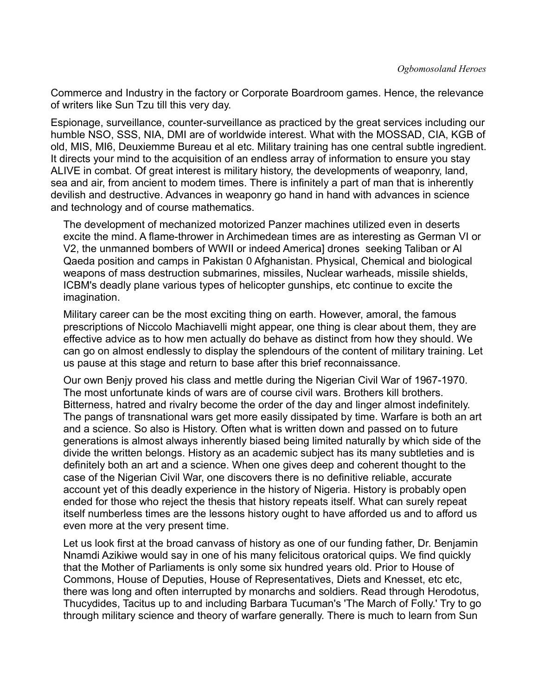Commerce and Industry in the factory or Corporate Boardroom games. Hence, the relevance of writers like Sun Tzu till this very day.

Espionage, surveillance, counter-surveillance as practiced by the great services including our humble NSO, SSS, NIA, DMI are of worldwide interest. What with the MOSSAD, CIA, KGB of old, MIS, MI6, Deuxiemme Bureau et al etc. Military training has one central subtle ingredient. It directs your mind to the acquisition of an endless array of information to ensure you stay ALIVE in combat. Of great interest is military history, the developments of weaponry, land, sea and air, from ancient to modem times. There is infinitely a part of man that is inherently devilish and destructive. Advances in weaponry go hand in hand with advances in science and technology and of course mathematics.

The development of mechanized motorized Panzer machines utilized even in deserts excite the mind. A flame-thrower in Archimedean times are as interesting as German VI or V2, the unmanned bombers of WWII or indeed America] drones seeking Taliban or Al Qaeda position and camps in Pakistan 0 Afghanistan. Physical, Chemical and biological weapons of mass destruction submarines, missiles, Nuclear warheads, missile shields, ICBM's deadly plane various types of helicopter gunships, etc continue to excite the imagination.

Military career can be the most exciting thing on earth. However, amoral, the famous prescriptions of Niccolo Machiavelli might appear, one thing is clear about them, they are effective advice as to how men actually do behave as distinct from how they should. We can go on almost endlessly to display the splendours of the content of military training. Let us pause at this stage and return to base after this brief reconnaissance.

Our own Benjy proved his class and mettle during the Nigerian Civil War of 1967-1970. The most unfortunate kinds of wars are of course civil wars. Brothers kill brothers. Bitterness, hatred and rivalry become the order of the day and linger almost indefinitely. The pangs of transnational wars get more easily dissipated by time. Warfare is both an art and a science. So also is History. Often what is written down and passed on to future generations is almost always inherently biased being limited naturally by which side of the divide the written belongs. History as an academic subject has its many subtleties and is definitely both an art and a science. When one gives deep and coherent thought to the case of the Nigerian Civil War, one discovers there is no definitive reliable, accurate account yet of this deadly experience in the history of Nigeria. History is probably open ended for those who reject the thesis that history repeats itself. What can surely repeat itself numberless times are the lessons history ought to have afforded us and to afford us even more at the very present time.

Let us look first at the broad canvass of history as one of our funding father, Dr. Benjamin Nnamdi Azikiwe would say in one of his many felicitous oratorical quips. We find quickly that the Mother of Parliaments is only some six hundred years old. Prior to House of Commons, House of Deputies, House of Representatives, Diets and Knesset, etc etc, there was long and often interrupted by monarchs and soldiers. Read through Herodotus, Thucydides, Tacitus up to and including Barbara Tucuman's 'The March of Folly.' Try to go through military science and theory of warfare generally. There is much to learn from Sun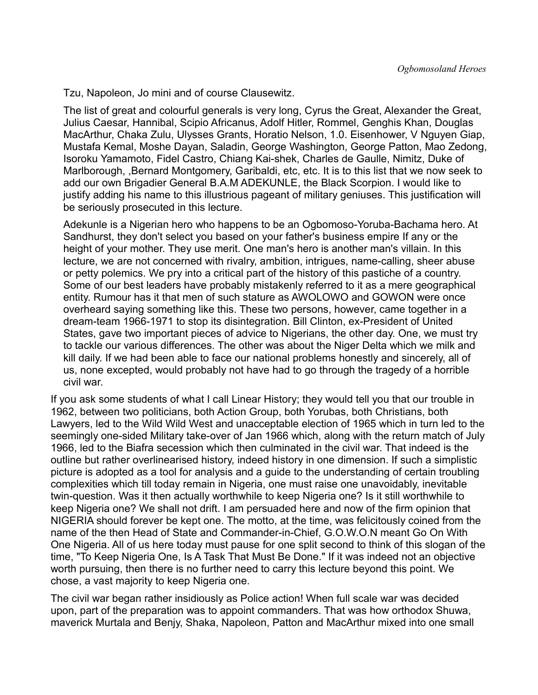Tzu, Napoleon, Jo mini and of course Clausewitz.

The list of great and colourful generals is very long, Cyrus the Great, Alexander the Great, Julius Caesar, Hannibal, Scipio Africanus, Adolf Hitler, Rommel, Genghis Khan, Douglas MacArthur, Chaka Zulu, Ulysses Grants, Horatio Nelson, 1.0. Eisenhower, V Nguyen Giap, Mustafa Kemal, Moshe Dayan, Saladin, George Washington, George Patton, Mao Zedong, Isoroku Yamamoto, Fidel Castro, Chiang Kai-shek, Charles de Gaulle, Nimitz, Duke of Marlborough, ,Bernard Montgomery, Garibaldi, etc, etc. It is to this list that we now seek to add our own Brigadier General B.A.M ADEKUNLE, the Black Scorpion. I would like to justify adding his name to this illustrious pageant of military geniuses. This justification will be seriously prosecuted in this lecture.

Adekunle is a Nigerian hero who happens to be an Ogbomoso-Yoruba-Bachama hero. At Sandhurst, they don't select you based on your father's business empire If any or the height of your mother. They use merit. One man's hero is another man's villain. In this lecture, we are not concerned with rivalry, ambition, intrigues, name-calling, sheer abuse or petty polemics. We pry into a critical part of the history of this pastiche of a country. Some of our best leaders have probably mistakenly referred to it as a mere geographical entity. Rumour has it that men of such stature as AWOLOWO and GOWON were once overheard saying something like this. These two persons, however, came together in a dream-team 1966-1971 to stop its disintegration. Bill Clinton, ex-President of United States, gave two important pieces of advice to Nigerians, the other day. One, we must try to tackle our various differences. The other was about the Niger Delta which we milk and kill daily. If we had been able to face our national problems honestly and sincerely, all of us, none excepted, would probably not have had to go through the tragedy of a horrible civil war.

If you ask some students of what I call Linear History; they would tell you that our trouble in 1962, between two politicians, both Action Group, both Yorubas, both Christians, both Lawyers, led to the Wild Wild West and unacceptable election of 1965 which in turn led to the seemingly one-sided Military take-over of Jan 1966 which, along with the return match of July 1966, led to the Biafra secession which then culminated in the civil war. That indeed is the outline but rather overlinearised history, indeed history in one dimension. If such a simplistic picture is adopted as a tool for analysis and a guide to the understanding of certain troubling complexities which till today remain in Nigeria, one must raise one unavoidably, inevitable twin-question. Was it then actually worthwhile to keep Nigeria one? Is it still worthwhile to keep Nigeria one? We shall not drift. I am persuaded here and now of the firm opinion that NIGERIA should forever be kept one. The motto, at the time, was felicitously coined from the name of the then Head of State and Commander-in-Chief, G.O.W.O.N meant Go On With One Nigeria. All of us here today must pause for one split second to think of this slogan of the time, "To Keep Nigeria One, Is A Task That Must Be Done." If it was indeed not an objective worth pursuing, then there is no further need to carry this lecture beyond this point. We chose, a vast majority to keep Nigeria one.

The civil war began rather insidiously as Police action! When full scale war was decided upon, part of the preparation was to appoint commanders. That was how orthodox Shuwa, maverick Murtala and Benjy, Shaka, Napoleon, Patton and MacArthur mixed into one small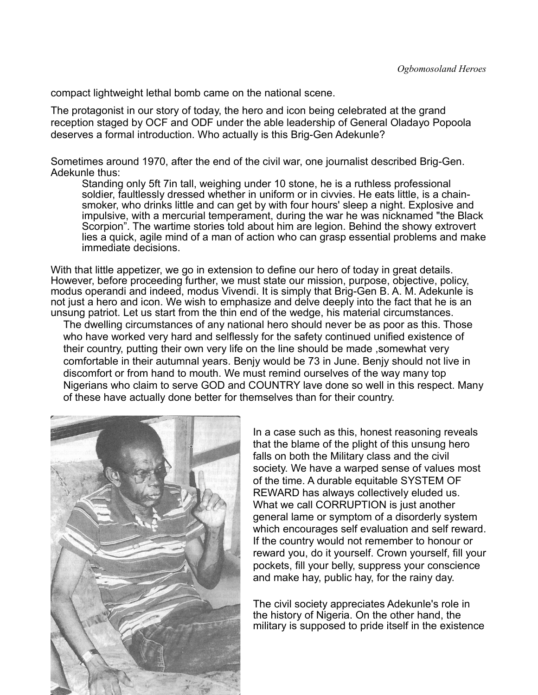compact lightweight lethal bomb came on the national scene.

The protagonist in our story of today, the hero and icon being celebrated at the grand reception staged by OCF and ODF under the able leadership of General Oladayo Popoola deserves a formal introduction. Who actually is this Brig-Gen Adekunle?

Sometimes around 1970, after the end of the civil war, one journalist described Brig-Gen. Adekunle thus:

Standing only 5ft 7in tall, weighing under 10 stone, he is a ruthless professional soldier, faultlessly dressed whether in uniform or in civvies. He eats little, is a chainsmoker, who drinks little and can get by with four hours' sleep a night. Explosive and impulsive, with a mercurial temperament, during the war he was nicknamed "the Black Scorpion". The wartime stories told about him are legion. Behind the showy extrovert lies a quick, agile mind of a man of action who can grasp essential problems and make immediate decisions.

With that little appetizer, we go in extension to define our hero of today in great details. However, before proceeding further, we must state our mission, purpose, objective, policy, modus operandi and indeed, modus Vivendi. It is simply that Brig-Gen B. A. M. Adekunle is not just a hero and icon. We wish to emphasize and delve deeply into the fact that he is an unsung patriot. Let us start from the thin end of the wedge, his material circumstances.

The dwelling circumstances of any national hero should never be as poor as this. Those who have worked very hard and selflessly for the safety continued unified existence of their country, putting their own very life on the line should be made ,somewhat very comfortable in their autumnal years. Benjy would be 73 in June. Benjy should not live in discomfort or from hand to mouth. We must remind ourselves of the way many top Nigerians who claim to serve GOD and COUNTRY lave done so well in this respect. Many of these have actually done better for themselves than for their country.



In a case such as this, honest reasoning reveals that the blame of the plight of this unsung hero falls on both the Military class and the civil society. We have a warped sense of values most of the time. A durable equitable SYSTEM OF REWARD has always collectively eluded us. What we call CORRUPTION is just another general lame or symptom of a disorderly system which encourages self evaluation and self reward. If the country would not remember to honour or reward you, do it yourself. Crown yourself, fill your pockets, fill your belly, suppress your conscience and make hay, public hay, for the rainy day.

The civil society appreciates Adekunle's role in the history of Nigeria. On the other hand, the military is supposed to pride itself in the existence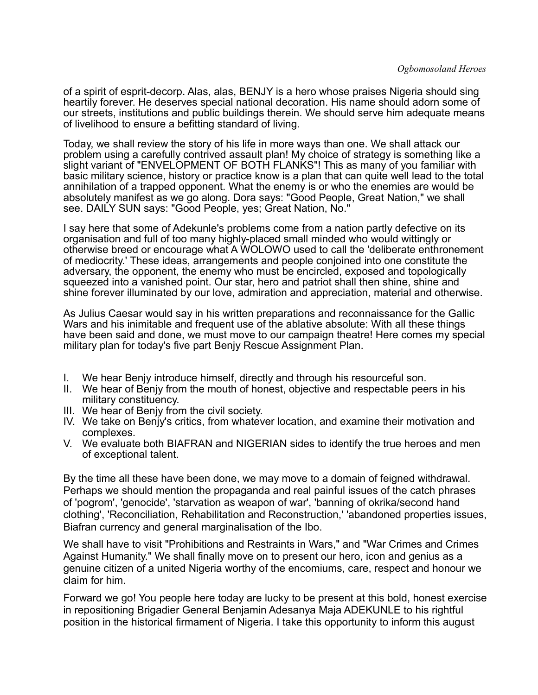of a spirit of esprit-decorp. Alas, alas, BENJY is a hero whose praises Nigeria should sing heartily forever. He deserves special national decoration. His name should adorn some of our streets, institutions and public buildings therein. We should serve him adequate means of livelihood to ensure a befitting standard of living.

Today, we shall review the story of his life in more ways than one. We shall attack our problem using a carefully contrived assault plan! My choice of strategy is something like a slight variant of "ENVELOPMENT OF BOTH FLANKS"! This as many of you familiar with basic military science, history or practice know is a plan that can quite well lead to the total annihilation of a trapped opponent. What the enemy is or who the enemies are would be absolutely manifest as we go along. Dora says: "Good People, Great Nation," we shall see. DAILY SUN says: "Good People, yes; Great Nation, No."

I say here that some of Adekunle's problems come from a nation partly defective on its organisation and full of too many highly-placed small minded who would wittingly or otherwise breed or encourage what A WOLOWO used to call the 'deliberate enthronement of mediocrity.' These ideas, arrangements and people conjoined into one constitute the adversary, the opponent, the enemy who must be encircled, exposed and topologically squeezed into a vanished point. Our star, hero and patriot shall then shine, shine and shine forever illuminated by our love, admiration and appreciation, material and otherwise.

As Julius Caesar would say in his written preparations and reconnaissance for the Gallic Wars and his inimitable and frequent use of the ablative absolute: With all these things have been said and done, we must move to our campaign theatre! Here comes my special military plan for today's five part Benjy Rescue Assignment Plan.

- I. We hear Benjy introduce himself, directly and through his resourceful son.
- II. We hear of Benjy from the mouth of honest, objective and respectable peers in his military constituency.
- III. We hear of Benjy from the civil society.
- IV. We take on Benjy's critics, from whatever location, and examine their motivation and complexes.
- V. We evaluate both BIAFRAN and NIGERIAN sides to identify the true heroes and men of exceptional talent.

By the time all these have been done, we may move to a domain of feigned withdrawal. Perhaps we should mention the propaganda and real painful issues of the catch phrases of 'pogrom', 'genocide', 'starvation as weapon of war', 'banning of okrika/second hand clothing', 'Reconciliation, Rehabilitation and Reconstruction,' 'abandoned properties issues, Biafran currency and general marginalisation of the Ibo.

We shall have to visit "Prohibitions and Restraints in Wars," and "War Crimes and Crimes Against Humanity." We shall finally move on to present our hero, icon and genius as a genuine citizen of a united Nigeria worthy of the encomiums, care, respect and honour we claim for him.

Forward we go! You people here today are lucky to be present at this bold, honest exercise in repositioning Brigadier General Benjamin Adesanya Maja ADEKUNLE to his rightful position in the historical firmament of Nigeria. I take this opportunity to inform this august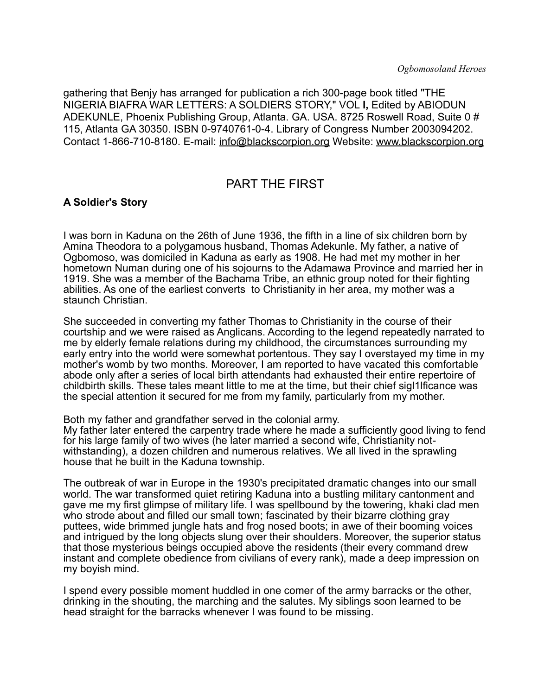gathering that Benjy has arranged for publication a rich 300-page book titled "THE NIGERIA BIAFRA WAR LETTERS: A SOLDIERS STORY," VOL **I,** Edited by ABIODUN ADEKUNLE, Phoenix Publishing Group, Atlanta. GA. USA. 8725 Roswell Road, Suite 0 # 115, Atlanta GA 30350. ISBN 0-9740761-0-4. Library of Congress Number 2003094202. Contact 1-866-710-8180. E-mail: [info@blackscorpion.org](mailto:info@blackscorpion.org) Website: [www.blackscorpion.org](http://www.blackscorpion.org/)

## PART THE FIRST

#### **A Soldier's Story**

I was born in Kaduna on the 26th of June 1936, the fifth in a line of six children born by Amina Theodora to a polygamous husband, Thomas Adekunle. My father, a native of Ogbomoso, was domiciled in Kaduna as early as 1908. He had met my mother in her hometown Numan during one of his sojourns to the Adamawa Province and married her in 1919. She was a member of the Bachama Tribe, an ethnic group noted for their fighting abilities. As one of the earliest converts to Christianity in her area, my mother was a staunch Christian.

She succeeded in converting my father Thomas to Christianity in the course of their courtship and we were raised as Anglicans. According to the legend repeatedly narrated to me by elderly female relations during my childhood, the circumstances surrounding my early entry into the world were somewhat portentous. They say I overstayed my time in my mother's womb by two months. Moreover, I am reported to have vacated this comfortable abode only after a series of local birth attendants had exhausted their entire repertoire of childbirth skills. These tales meant little to me at the time, but their chief sigl1lficance was the special attention it secured for me from my family, particularly from my mother.

Both my father and grandfather served in the colonial army.

My father later entered the carpentry trade where he made a sufficiently good living to fend for his large family of two wives (he later married a second wife, Christianity notwithstanding), a dozen children and numerous relatives. We all lived in the sprawling house that he built in the Kaduna township.

The outbreak of war in Europe in the 1930's precipitated dramatic changes into our small world. The war transformed quiet retiring Kaduna into a bustling military cantonment and gave me my first glimpse of military life. I was spellbound by the towering, khaki clad men who strode about and filled our small town; fascinated by their bizarre clothing gray puttees, wide brimmed jungle hats and frog nosed boots; in awe of their booming voices and intrigued by the long objects slung over their shoulders. Moreover, the superior status that those mysterious beings occupied above the residents (their every command drew instant and complete obedience from civilians of every rank), made a deep impression on my boyish mind.

I spend every possible moment huddled in one comer of the army barracks or the other, drinking in the shouting, the marching and the salutes. My siblings soon learned to be head straight for the barracks whenever I was found to be missing.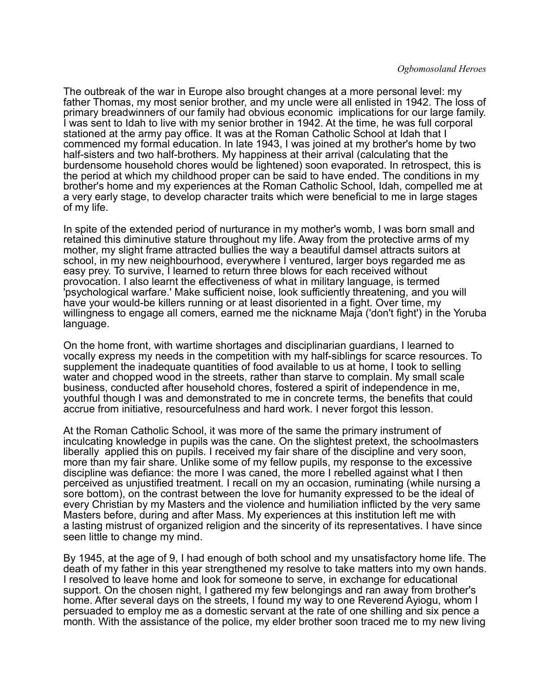The outbreak of the war in Europe also brought changes at a more personal level: my father Thomas, my most senior brother, and my uncle were all enlisted in 1942. The loss of primary breadwinners of our family had obvious economic implications for our large family. I was sent to Idah to live with my senior brother in 1942. At the time, he was full corporal stationed at the army pay office. It was at the Roman Catholic School at Idah that I commenced my formal education. In late 1943, I was joined at my brother's home by two half-sisters and two half-brothers. My happiness at their arrival (calculating that the burdensome household chores would be lightened) soon evaporated. In retrospect, this is the period at which my childhood proper can be said to have ended. The conditions in my brother's home and my experiences at the Roman Catholic School, Idah, compelled me at a very early stage, to develop character traits which were beneficial to me in large stages of my life.

In spite of the extended period of nurturance in my mother's womb, I was born small and retained this diminutive stature throughout my life. Away from the protective arms of my mother, my slight frame attracted bullies the way a beautiful damsel attracts suitors at school, in my new neighbourhood, everywhere I ventured, larger boys regarded me as easy prey. To survive, I learned to return three blows for each received without provocation. I also learnt the effectiveness of what in military language, is termed 'psychological warfare.' Make sufficient noise, look sufficiently threatening, and you will have your would-be killers running or at least disoriented in a fight. Over time, my willingness to engage all comers, earned me the nickname Maja ('don't fight') in the Yoruba language.

On the home front, with wartime shortages and disciplinarian guardians, I learned to vocally express my needs in the competition with my half-siblings for scarce resources. To supplement the inadequate quantities of food available to us at home, I took to selling water and chopped wood in the streets, rather than starve to complain. My small scale business, conducted after household chores, fostered a spirit of independence in me, youthful though I was and demonstrated to me in concrete terms, the benefits that could accrue from initiative, resourcefulness and hard work. I never forgot this lesson.

At the Roman Catholic School, it was more of the same the primary instrument of inculcating knowledge in pupils was the cane. On the slightest pretext, the schoolmasters liberally applied this on pupils. I received my fair share of the discipline and very soon, more than my fair share. Unlike some of my fellow pupils, my response to the excessive discipline was defiance: the more I was caned, the more I rebelled against what I then perceived as unjustified treatment. I recall on my an occasion, ruminating (while nursing a sore bottom), on the contrast between the love for humanity expressed to be the ideal of every Christian by my Masters and the violence and humiliation inflicted by the very same Masters before, during and after Mass. My experiences at this institution left me with a lasting mistrust of organized religion and the sincerity of its representatives. I have since seen little to change my mind.

By 1945, at the age of 9, I had enough of both school and my unsatisfactory home life. The death of my father in this year strengthened my resolve to take matters into my own hands. I resolved to leave home and look for someone to serve, in exchange for educational support. On the chosen night, I gathered my few belongings and ran away from brother's home. After several days on the streets, I found my way to one Reverend Ayiogu, whom I persuaded to employ me as a domestic servant at the rate of one shilling and six pence a month. With the assistance of the police, my elder brother soon traced me to my new living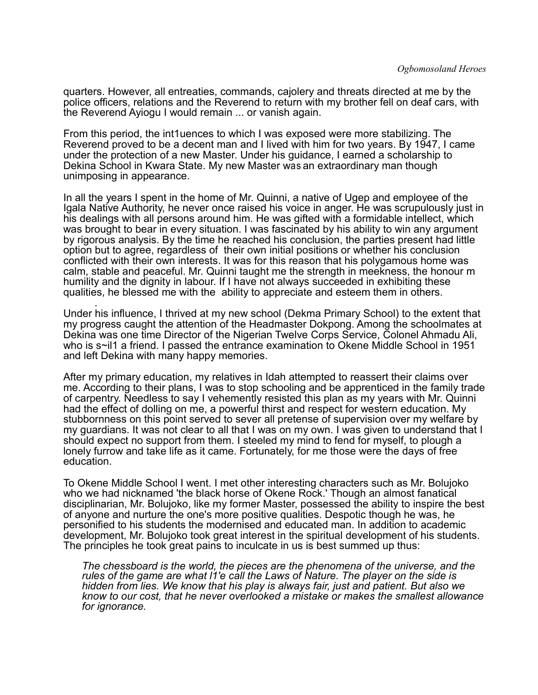quarters. However, all entreaties, commands, cajolery and threats directed at me by the police officers, relations and the Reverend to return with my brother fell on deaf cars, with the Reverend Ayiogu I would remain ... or vanish again.

From this period, the int1uences to which I was exposed were more stabilizing. The Reverend proved to be a decent man and I lived with him for two years. By 1947, I came under the protection of a new Master. Under his guidance, I earned a scholarship to Dekina School in Kwara State. My new Master was an extraordinary man though unimposing in appearance.

In all the years I spent in the home of Mr. Quinni, a native of Ugep and employee of the Igala Native Authority, he never once raised his voice in anger. He was scrupulously just in his dealings with all persons around him. He was gifted with a formidable intellect, which was brought to bear in every situation. I was fascinated by his ability to win any argument by rigorous analysis. By the time he reached his conclusion, the parties present had little option but to agree, regardless of their own initial positions or whether his conclusion conflicted with their own interests. It was for this reason that his polygamous home was calm, stable and peaceful. Mr. Quinni taught me the strength in meekness, the honour m humility and the dignity in labour. If I have not always succeeded in exhibiting these qualities, he blessed me with the ability to appreciate and esteem them in others.

. Under his influence, I thrived at my new school (Dekma Primary School) to the extent that my progress caught the attention of the Headmaster Dokpong. Among the schoolmates at Dekina was one time Director of the Nigerian Twelve Corps Service, Colonel Ahmadu Ali, who is s~il1 a friend. I passed the entrance examination to Okene Middle School in 1951 and left Dekina with many happy memories.

After my primary education, my relatives in Idah attempted to reassert their claims over me. According to their plans, I was to stop schooling and be apprenticed in the family trade of carpentry. Needless to say I vehemently resisted this plan as my years with Mr. Quinni had the effect of dolling on me, a powerful thirst and respect for western education. My stubbornness on this point served to sever all pretense of supervision over my welfare by my guardians. It was not clear to all that I was on my own. I was given to understand that I should expect no support from them. I steeled my mind to fend for myself, to plough a lonely furrow and take life as it came. Fortunately, for me those were the days of free education.

To Okene Middle School I went. I met other interesting characters such as Mr. Bolujoko who we had nicknamed 'the black horse of Okene Rock.' Though an almost fanatical disciplinarian, Mr. Bolujoko, like my former Master, possessed the ability to inspire the best of anyone and nurture the one's more positive qualities. Despotic though he was, he personified to his students the modernised and educated man. In addition to academic development, Mr. Bolujoko took great interest in the spiritual development of his students. The principles he took great pains to inculcate in us is best summed up thus:

*The chessboard is the world, the pieces are the phenomena of the universe, and the rules of the game are what l1'e call the Laws of Nature. The player on the side is hidden from lies. We know that his play is always fair, just and patient. But also we know to our cost, that he never overlooked a mistake or makes the smallest allowance for ignorance.*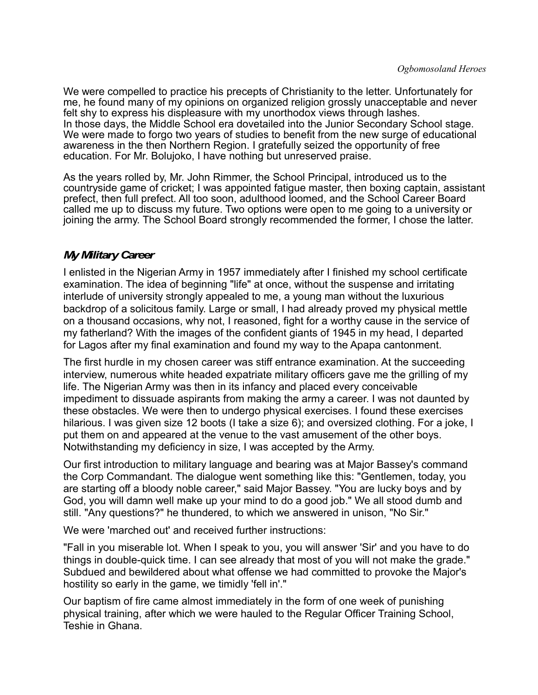We were compelled to practice his precepts of Christianity to the letter. Unfortunately for me, he found many of my opinions on organized religion grossly unacceptable and never felt shy to express his displeasure with my unorthodox views through lashes. In those days, the Middle School era dovetailed into the Junior Secondary School stage. We were made to forgo two years of studies to benefit from the new surge of educational awareness in the then Northern Region. I gratefully seized the opportunity of free education. For Mr. Bolujoko, I have nothing but unreserved praise.

As the years rolled by, Mr. John Rimmer, the School Principal, introduced us to the countryside game of cricket; I was appointed fatigue master, then boxing captain, assistant prefect, then full prefect. All too soon, adulthood loomed, and the School Career Board called me up to discuss my future. Two options were open to me going to a university or joining the army. The School Board strongly recommended the former, I chose the latter.

#### *My Military Career*

I enlisted in the Nigerian Army in 1957 immediately after I finished my school certificate examination. The idea of beginning "life" at once, without the suspense and irritating interlude of university strongly appealed to me, a young man without the luxurious backdrop of a solicitous family. Large or small, I had already proved my physical mettle on a thousand occasions, why not, I reasoned, fight for a worthy cause in the service of my fatherland? With the images of the confident giants of 1945 in my head, I departed for Lagos after my final examination and found my way to the Apapa cantonment.

The first hurdle in my chosen career was stiff entrance examination. At the succeeding interview, numerous white headed expatriate military officers gave me the grilling of my life. The Nigerian Army was then in its infancy and placed every conceivable impediment to dissuade aspirants from making the army a career. I was not daunted by these obstacles. We were then to undergo physical exercises. I found these exercises hilarious. I was given size 12 boots (I take a size 6); and oversized clothing. For a joke, I put them on and appeared at the venue to the vast amusement of the other boys. Notwithstanding my deficiency in size, I was accepted by the Army.

Our first introduction to military language and bearing was at Major Bassey's command the Corp Commandant. The dialogue went something like this: "Gentlemen, today, you are starting off a bloody noble career," said Major Bassey. "You are lucky boys and by God, you will damn well make up your mind to do a good job." We all stood dumb and still. "Any questions?" he thundered, to which we answered in unison, "No Sir."

We were 'marched out' and received further instructions:

"Fall in you miserable lot. When I speak to you, you will answer 'Sir' and you have to do things in double-quick time. I can see already that most of you will not make the grade." Subdued and bewildered about what offense we had committed to provoke the Major's hostility so early in the game, we timidly 'fell in'."

Our baptism of fire came almost immediately in the form of one week of punishing physical training, after which we were hauled to the Regular Officer Training School, Teshie in Ghana.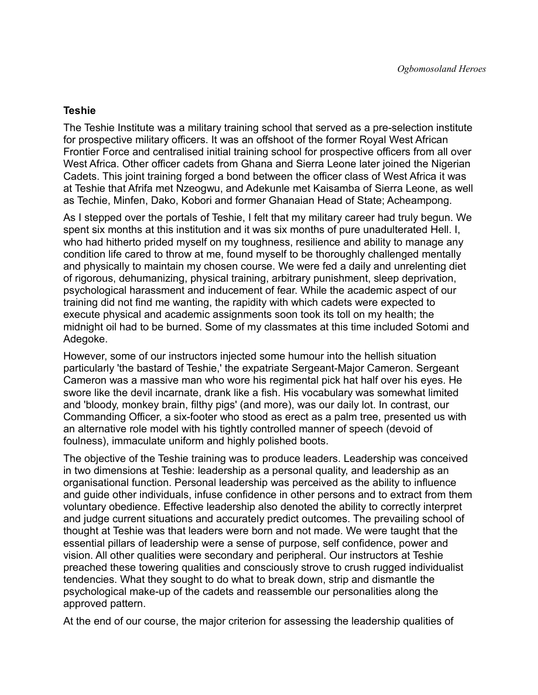#### **Teshie**

The Teshie Institute was a military training school that served as a pre-selection institute for prospective military officers. It was an offshoot of the former Royal West African Frontier Force and centralised initial training school for prospective officers from all over West Africa. Other officer cadets from Ghana and Sierra Leone later joined the Nigerian Cadets. This joint training forged a bond between the officer class of West Africa it was at Teshie that Afrifa met Nzeogwu, and Adekunle met Kaisamba of Sierra Leone, as well as Techie, Minfen, Dako, Kobori and former Ghanaian Head of State; Acheampong.

As I stepped over the portals of Teshie, I felt that my military career had truly begun. We spent six months at this institution and it was six months of pure unadulterated Hell. I, who had hitherto prided myself on my toughness, resilience and ability to manage any condition life cared to throw at me, found myself to be thoroughly challenged mentally and physically to maintain my chosen course. We were fed a daily and unrelenting diet of rigorous, dehumanizing, physical training, arbitrary punishment, sleep deprivation, psychological harassment and inducement of fear. While the academic aspect of our training did not find me wanting, the rapidity with which cadets were expected to execute physical and academic assignments soon took its toll on my health; the midnight oil had to be burned. Some of my classmates at this time included Sotomi and Adegoke.

However, some of our instructors injected some humour into the hellish situation particularly 'the bastard of Teshie,' the expatriate Sergeant-Major Cameron. Sergeant Cameron was a massive man who wore his regimental pick hat half over his eyes. He swore like the devil incarnate, drank like a fish. His vocabulary was somewhat limited and 'bloody, monkey brain, filthy pigs' (and more), was our daily lot. In contrast, our Commanding Officer, a six-footer who stood as erect as a palm tree, presented us with an alternative role model with his tightly controlled manner of speech (devoid of foulness), immaculate uniform and highly polished boots.

The objective of the Teshie training was to produce leaders. Leadership was conceived in two dimensions at Teshie: leadership as a personal quality, and leadership as an organisational function. Personal leadership was perceived as the ability to influence and guide other individuals, infuse confidence in other persons and to extract from them voluntary obedience. Effective leadership also denoted the ability to correctly interpret and judge current situations and accurately predict outcomes. The prevailing school of thought at Teshie was that leaders were born and not made. We were taught that the essential pillars of leadership were a sense of purpose, self confidence, power and vision. All other qualities were secondary and peripheral. Our instructors at Teshie preached these towering qualities and consciously strove to crush rugged individualist tendencies. What they sought to do what to break down, strip and dismantle the psychological make-up of the cadets and reassemble our personalities along the approved pattern.

At the end of our course, the major criterion for assessing the leadership qualities of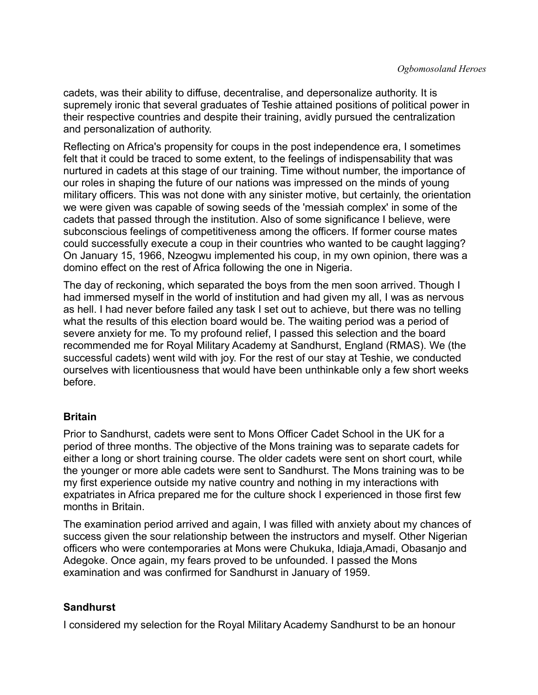cadets, was their ability to diffuse, decentralise, and depersonalize authority. It is supremely ironic that several graduates of Teshie attained positions of political power in their respective countries and despite their training, avidly pursued the centralization and personalization of authority.

Reflecting on Africa's propensity for coups in the post independence era, I sometimes felt that it could be traced to some extent, to the feelings of indispensability that was nurtured in cadets at this stage of our training. Time without number, the importance of our roles in shaping the future of our nations was impressed on the minds of young military officers. This was not done with any sinister motive, but certainly, the orientation we were given was capable of sowing seeds of the 'messiah complex' in some of the cadets that passed through the institution. Also of some significance I believe, were subconscious feelings of competitiveness among the officers. If former course mates could successfully execute a coup in their countries who wanted to be caught lagging? On January 15, 1966, Nzeogwu implemented his coup, in my own opinion, there was a domino effect on the rest of Africa following the one in Nigeria.

The day of reckoning, which separated the boys from the men soon arrived. Though I had immersed myself in the world of institution and had given my all, I was as nervous as hell. I had never before failed any task I set out to achieve, but there was no telling what the results of this election board would be. The waiting period was a period of severe anxiety for me. To my profound relief, I passed this selection and the board recommended me for Royal Military Academy at Sandhurst, England (RMAS). We (the successful cadets) went wild with joy. For the rest of our stay at Teshie, we conducted ourselves with licentiousness that would have been unthinkable only a few short weeks before.

#### **Britain**

Prior to Sandhurst, cadets were sent to Mons Officer Cadet School in the UK for a period of three months. The objective of the Mons training was to separate cadets for either a long or short training course. The older cadets were sent on short court, while the younger or more able cadets were sent to Sandhurst. The Mons training was to be my first experience outside my native country and nothing in my interactions with expatriates in Africa prepared me for the culture shock I experienced in those first few months in Britain.

The examination period arrived and again, I was filled with anxiety about my chances of success given the sour relationship between the instructors and myself. Other Nigerian officers who were contemporaries at Mons were Chukuka, Idiaja,Amadi, Obasanjo and Adegoke. Once again, my fears proved to be unfounded. I passed the Mons examination and was confirmed for Sandhurst in January of 1959.

#### **Sandhurst**

I considered my selection for the Royal Military Academy Sandhurst to be an honour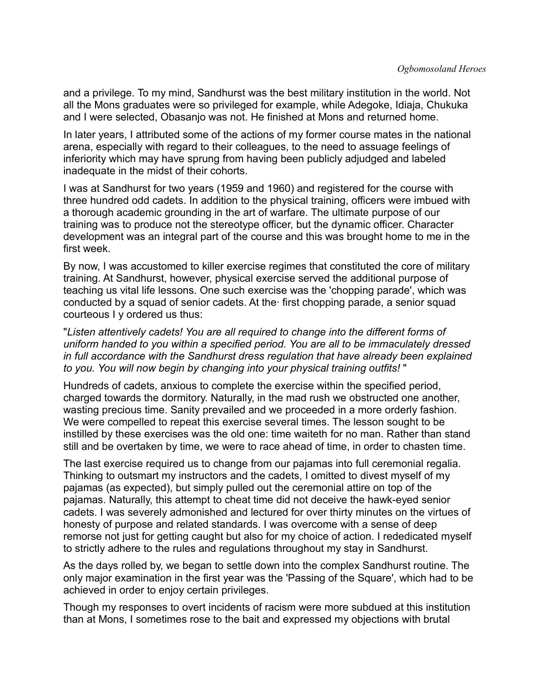and a privilege. To my mind, Sandhurst was the best military institution in the world. Not all the Mons graduates were so privileged for example, while Adegoke, Idiaja, Chukuka and I were selected, Obasanjo was not. He finished at Mons and returned home.

In later years, I attributed some of the actions of my former course mates in the national arena, especially with regard to their colleagues, to the need to assuage feelings of inferiority which may have sprung from having been publicly adjudged and labeled inadequate in the midst of their cohorts.

I was at Sandhurst for two years (1959 and 1960) and registered for the course with three hundred odd cadets. In addition to the physical training, officers were imbued with a thorough academic grounding in the art of warfare. The ultimate purpose of our training was to produce not the stereotype officer, but the dynamic officer. Character development was an integral part of the course and this was brought home to me in the first week.

By now, I was accustomed to killer exercise regimes that constituted the core of military training. At Sandhurst, however, physical exercise served the additional purpose of teaching us vital life lessons. One such exercise was the 'chopping parade', which was conducted by a squad of senior cadets. At the· first chopping parade, a senior squad courteous I y ordered us thus:

"*Listen attentively cadets! You are all required to change into the different forms of uniform handed to you within a specified period. You are all to be immaculately dressed in full accordance with the Sandhurst dress regulation that have already been explained to you. You will now begin by changing into your physical training outfits!* "

Hundreds of cadets, anxious to complete the exercise within the specified period, charged towards the dormitory. Naturally, in the mad rush we obstructed one another, wasting precious time. Sanity prevailed and we proceeded in a more orderly fashion. We were compelled to repeat this exercise several times. The lesson sought to be instilled by these exercises was the old one: time waiteth for no man. Rather than stand still and be overtaken by time, we were to race ahead of time, in order to chasten time.

The last exercise required us to change from our pajamas into full ceremonial regalia. Thinking to outsmart my instructors and the cadets, I omitted to divest myself of my pajamas (as expected), but simply pulled out the ceremonial attire on top of the pajamas. Naturally, this attempt to cheat time did not deceive the hawk-eyed senior cadets. I was severely admonished and lectured for over thirty minutes on the virtues of honesty of purpose and related standards. I was overcome with a sense of deep remorse not just for getting caught but also for my choice of action. I rededicated myself to strictly adhere to the rules and regulations throughout my stay in Sandhurst.

As the days rolled by, we began to settle down into the complex Sandhurst routine. The only major examination in the first year was the 'Passing of the Square', which had to be achieved in order to enjoy certain privileges.

Though my responses to overt incidents of racism were more subdued at this institution than at Mons, I sometimes rose to the bait and expressed my objections with brutal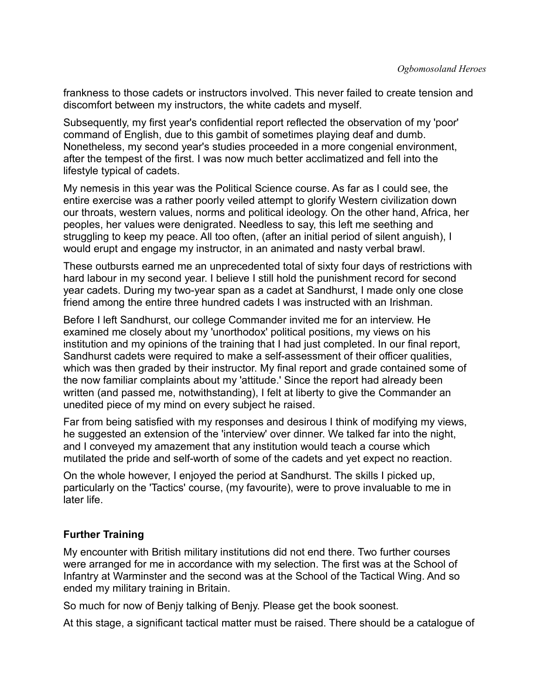frankness to those cadets or instructors involved. This never failed to create tension and discomfort between my instructors, the white cadets and myself.

Subsequently, my first year's confidential report reflected the observation of my 'poor' command of English, due to this gambit of sometimes playing deaf and dumb. Nonetheless, my second year's studies proceeded in a more congenial environment, after the tempest of the first. I was now much better acclimatized and fell into the lifestyle typical of cadets.

My nemesis in this year was the Political Science course. As far as I could see, the entire exercise was a rather poorly veiled attempt to glorify Western civilization down our throats, western values, norms and political ideology. On the other hand, Africa, her peoples, her values were denigrated. Needless to say, this left me seething and struggling to keep my peace. All too often, (after an initial period of silent anguish), I would erupt and engage my instructor, in an animated and nasty verbal brawl.

These outbursts earned me an unprecedented total of sixty four days of restrictions with hard labour in my second year. I believe I still hold the punishment record for second year cadets. During my two-year span as a cadet at Sandhurst, I made only one close friend among the entire three hundred cadets I was instructed with an Irishman.

Before I left Sandhurst, our college Commander invited me for an interview. He examined me closely about my 'unorthodox' political positions, my views on his institution and my opinions of the training that I had just completed. In our final report, Sandhurst cadets were required to make a self-assessment of their officer qualities, which was then graded by their instructor. My final report and grade contained some of the now familiar complaints about my 'attitude.' Since the report had already been written (and passed me, notwithstanding), I felt at liberty to give the Commander an unedited piece of my mind on every subject he raised.

Far from being satisfied with my responses and desirous I think of modifying my views, he suggested an extension of the 'interview' over dinner. We talked far into the night, and I conveyed my amazement that any institution would teach a course which mutilated the pride and self-worth of some of the cadets and yet expect no reaction.

On the whole however, I enjoyed the period at Sandhurst. The skills I picked up, particularly on the 'Tactics' course, (my favourite), were to prove invaluable to me in later life.

#### **Further Training**

My encounter with British military institutions did not end there. Two further courses were arranged for me in accordance with my selection. The first was at the School of Infantry at Warminster and the second was at the School of the Tactical Wing. And so ended my military training in Britain.

So much for now of Benjy talking of Benjy. Please get the book soonest.

At this stage, a significant tactical matter must be raised. There should be a catalogue of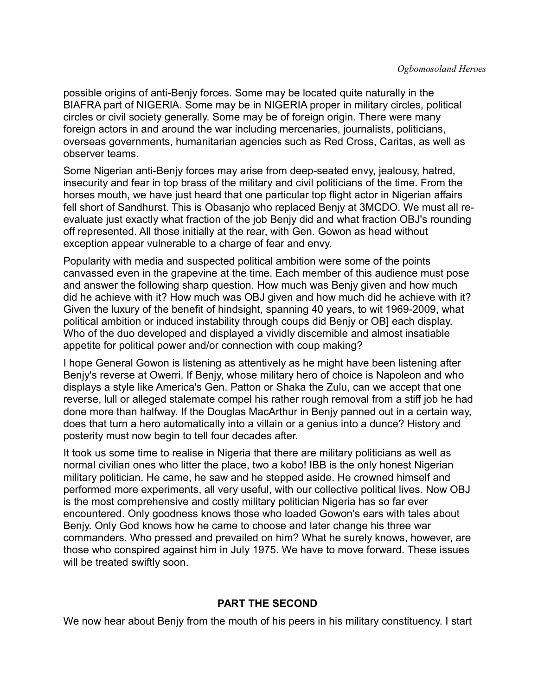possible origins of anti-Benjy forces. Some may be located quite naturally in the BIAFRA part of NIGERlA. Some may be in NIGERIA proper in military circles, political circles or civil society generally. Some may be of foreign origin. There were many foreign actors in and around the war including mercenaries, journalists, politicians, overseas governments, humanitarian agencies such as Red Cross, Caritas, as well as observer teams.

Some Nigerian anti-Benjy forces may arise from deep-seated envy, jealousy, hatred, insecurity and fear in top brass of the military and civil politicians of the time. From the horses mouth, we have just heard that one particular top flight actor in Nigerian affairs fell short of Sandhurst. This is Obasanjo who replaced Benjy at 3MCDO. We must all reevaluate just exactly what fraction of the job Benjy did and what fraction OBJ's rounding off represented. All those initially at the rear, with Gen. Gowon as head without exception appear vulnerable to a charge of fear and envy.

Popularity with media and suspected political ambition were some of the points canvassed even in the grapevine at the time. Each member of this audience must pose and answer the following sharp question. How much was Benjy given and how much did he achieve with it? How much was OBJ given and how much did he achieve with it? Given the luxury of the benefit of hindsight, spanning 40 years, to wit 1969-2009, what political ambition or induced instability through coups did Benjy or OB] each display. Who of the duo developed and displayed a vividly discernible and almost insatiable appetite for political power and/or connection with coup making?

I hope General Gowon is listening as attentively as he might have been listening after Benjy's reverse at Owerri. If Benjy, whose military hero of choice is Napoleon and who displays a style like America's Gen. Patton or Shaka the Zulu, can we accept that one reverse, lull or alleged stalemate compel his rather rough removal from a stiff job he had done more than halfway. If the Douglas MacArthur in Benjy panned out in a certain way, does that turn a hero automatically into a villain or a genius into a dunce? History and posterity must now begin to tell four decades after.

It took us some time to realise in Nigeria that there are military politicians as well as normal civilian ones who litter the place, two a kobo! IBB is the only honest Nigerian military politician. He came, he saw and he stepped aside. He crowned himself and performed more experiments, all very useful, with our collective political lives. Now OBJ is the most comprehensive and costly military politician Nigeria has so far ever encountered. Only goodness knows those who loaded Gowon's ears with tales about Benjy. Only God knows how he came to choose and later change his three war commanders. Who pressed and prevailed on him? What he surely knows, however, are those who conspired against him in July 1975. We have to move forward. These issues will be treated swiftly soon.

#### **PART THE SECOND**

We now hear about Benjy from the mouth of his peers in his military constituency. I start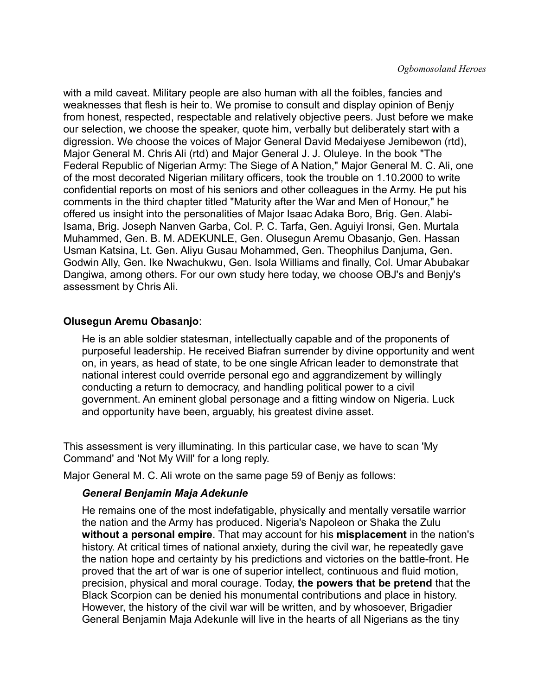with a mild caveat. Military people are also human with all the foibles, fancies and weaknesses that flesh is heir to. We promise to consult and display opinion of Benjy from honest, respected, respectable and relatively objective peers. Just before we make our selection, we choose the speaker, quote him, verbally but deliberately start with a digression. We choose the voices of Major General David Medaiyese Jemibewon (rtd), Major General M. Chris Ali (rtd) and Major General J. J. Oluleye. In the book "The Federal Republic of Nigerian Army: The Siege of A Nation," Major General M. C. Ali, one of the most decorated Nigerian military officers, took the trouble on 1.10.2000 to write confidential reports on most of his seniors and other colleagues in the Army. He put his comments in the third chapter titled "Maturity after the War and Men of Honour," he offered us insight into the personalities of Major Isaac Adaka Boro, Brig. Gen. Alabi-Isama, Brig. Joseph Nanven Garba, Col. P. C. Tarfa, Gen. Aguiyi Ironsi, Gen. Murtala Muhammed, Gen. B. M. ADEKUNLE, Gen. Olusegun Aremu Obasanjo, Gen. Hassan Usman Katsina, Lt. Gen. Aliyu Gusau Mohammed, Gen. Theophilus Danjuma, Gen. Godwin Ally, Gen. Ike Nwachukwu, Gen. Isola Williams and finally, Col. Umar Abubakar Dangiwa, among others. For our own study here today, we choose OBJ's and Benjy's assessment by Chris Ali.

#### **Olusegun Aremu Obasanjo**:

He is an able soldier statesman, intellectually capable and of the proponents of purposeful leadership. He received Biafran surrender by divine opportunity and went on, in years, as head of state, to be one single African leader to demonstrate that national interest could override personal ego and aggrandizement by willingly conducting a return to democracy, and handling political power to a civil government. An eminent global personage and a fitting window on Nigeria. Luck and opportunity have been, arguably, his greatest divine asset.

This assessment is very illuminating. In this particular case, we have to scan 'My Command' and 'Not My Will' for a long reply.

Major General M. C. Ali wrote on the same page 59 of Benjy as follows:

#### *General Benjamin Maja Adekunle*

He remains one of the most indefatigable, physically and mentally versatile warrior the nation and the Army has produced. Nigeria's Napoleon or Shaka the Zulu **without a personal empire**. That may account for his **misplacement** in the nation's history. At critical times of national anxiety, during the civil war, he repeatedly gave the nation hope and certainty by his predictions and victories on the battle-front. He proved that the art of war is one of superior intellect, continuous and fluid motion, precision, physical and moral courage. Today, **the powers that be pretend** that the Black Scorpion can be denied his monumental contributions and place in history. However, the history of the civil war will be written, and by whosoever, Brigadier General Benjamin Maja Adekunle will live in the hearts of all Nigerians as the tiny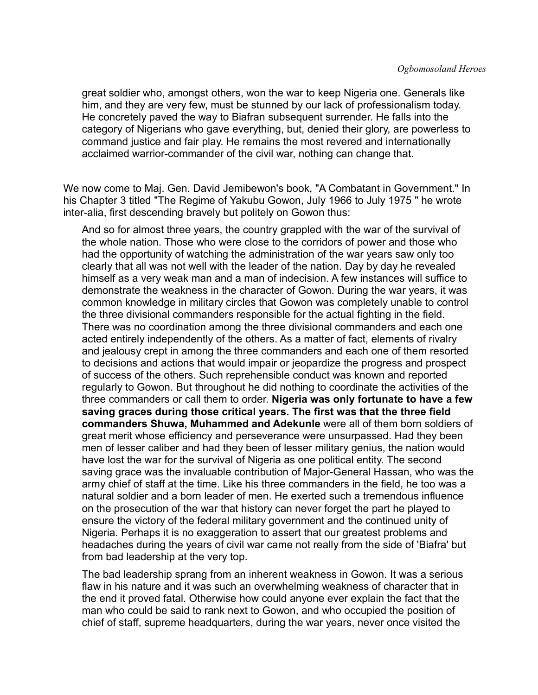great soldier who, amongst others, won the war to keep Nigeria one. Generals like him, and they are very few, must be stunned by our lack of professionalism today. He concretely paved the way to Biafran subsequent surrender. He falls into the category of Nigerians who gave everything, but, denied their glory, are powerless to command justice and fair play. He remains the most revered and internationally acclaimed warrior-commander of the civil war, nothing can change that.

We now come to Maj. Gen. David Jemibewon's book, "A Combatant in Government." In his Chapter 3 titled "The Regime of Yakubu Gowon, July 1966 to July 1975 " he wrote inter-alia, first descending bravely but politely on Gowon thus:

And so for almost three years, the country grappled with the war of the survival of the whole nation. Those who were close to the corridors of power and those who had the opportunity of watching the administration of the war years saw only too clearly that all was not well with the leader of the nation. Day by day he revealed himself as a very weak man and a man of indecision. A few instances will suffice to demonstrate the weakness in the character of Gowon. During the war years, it was common knowledge in military circles that Gowon was completely unable to control the three divisional commanders responsible for the actual fighting in the field. There was no coordination among the three divisional commanders and each one acted entirely independently of the others. As a matter of fact, elements of rivalry and jealousy crept in among the three commanders and each one of them resorted to decisions and actions that would impair or jeopardize the progress and prospect of success of the others. Such reprehensible conduct was known and reported regularly to Gowon. But throughout he did nothing to coordinate the activities of the three commanders or call them to order. **Nigeria was only fortunate to have a few saving graces during those critical years. The first was that the three field commanders Shuwa, Muhammed and Adekunle** were all of them born soldiers of great merit whose efficiency and perseverance were unsurpassed. Had they been men of lesser caliber and had they been of lesser military genius, the nation would have lost the war for the survival of Nigeria as one political entity. The second saving grace was the invaluable contribution of Major-General Hassan, who was the army chief of staff at the time. Like his three commanders in the field, he too was a natural soldier and a born leader of men. He exerted such a tremendous influence on the prosecution of the war that history can never forget the part he played to ensure the victory of the federal military government and the continued unity of Nigeria. Perhaps it is no exaggeration to assert that our greatest problems and headaches during the years of civil war came not really from the side of 'Biafra' but from bad leadership at the very top.

The bad leadership sprang from an inherent weakness in Gowon. It was a serious flaw in his nature and it was such an overwhelming weakness of character that in the end it proved fatal. Otherwise how could anyone ever explain the fact that the man who could be said to rank next to Gowon, and who occupied the position of chief of staff, supreme headquarters, during the war years, never once visited the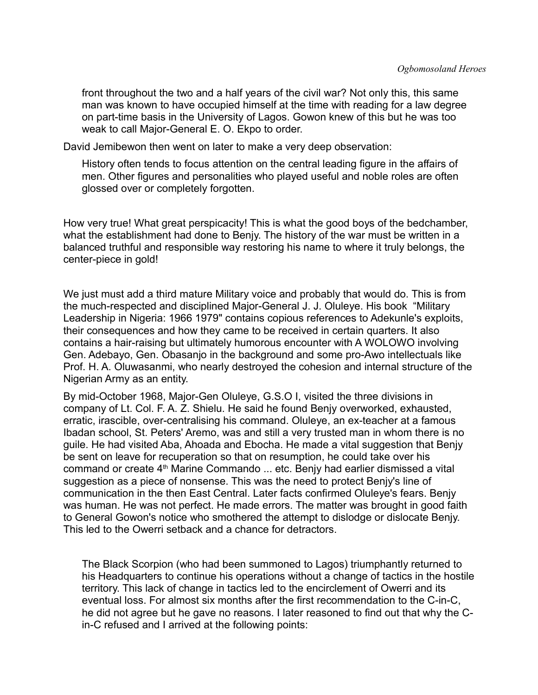front throughout the two and a half years of the civil war? Not only this, this same man was known to have occupied himself at the time with reading for a law degree on part-time basis in the University of Lagos. Gowon knew of this but he was too weak to call Major-General E. O. Ekpo to order.

David Jemibewon then went on later to make a very deep observation:

History often tends to focus attention on the central leading figure in the affairs of men. Other figures and personalities who played useful and noble roles are often glossed over or completely forgotten.

How very true! What great perspicacity! This is what the good boys of the bedchamber, what the establishment had done to Benjy. The history of the war must be written in a balanced truthful and responsible way restoring his name to where it truly belongs, the center-piece in gold!

We just must add a third mature Military voice and probably that would do. This is from the much-respected and disciplined Major-General J. J. Oluleye. His book "Military Leadership in Nigeria: 1966 1979" contains copious references to Adekunle's exploits, their consequences and how they came to be received in certain quarters. It also contains a hair-raising but ultimately humorous encounter with A WOLOWO involving Gen. Adebayo, Gen. Obasanjo in the background and some pro-Awo intellectuals like Prof. H. A. Oluwasanmi, who nearly destroyed the cohesion and internal structure of the Nigerian Army as an entity.

By mid-October 1968, Major-Gen Oluleye, G.S.O I, visited the three divisions in company of Lt. Col. F. A. Z. Shielu. He said he found Benjy overworked, exhausted, erratic, irascible, over-centralising his command. Oluleye, an ex-teacher at a famous Ibadan school, St. Peters' Aremo, was and still a very trusted man in whom there is no guile. He had visited Aba, Ahoada and Ebocha. He made a vital suggestion that Benjy be sent on leave for recuperation so that on resumption, he could take over his command or create 4th Marine Commando ... etc. Benjy had earlier dismissed a vital suggestion as a piece of nonsense. This was the need to protect Benjy's line of communication in the then East Central. Later facts confirmed Oluleye's fears. Benjy was human. He was not perfect. He made errors. The matter was brought in good faith to General Gowon's notice who smothered the attempt to dislodge or dislocate Benjy. This led to the Owerri setback and a chance for detractors.

The Black Scorpion (who had been summoned to Lagos) triumphantly returned to his Headquarters to continue his operations without a change of tactics in the hostile territory. This lack of change in tactics led to the encirclement of Owerri and its eventual loss. For almost six months after the first recommendation to the C-in-C, he did not agree but he gave no reasons. I later reasoned to find out that why the Cin-C refused and I arrived at the following points: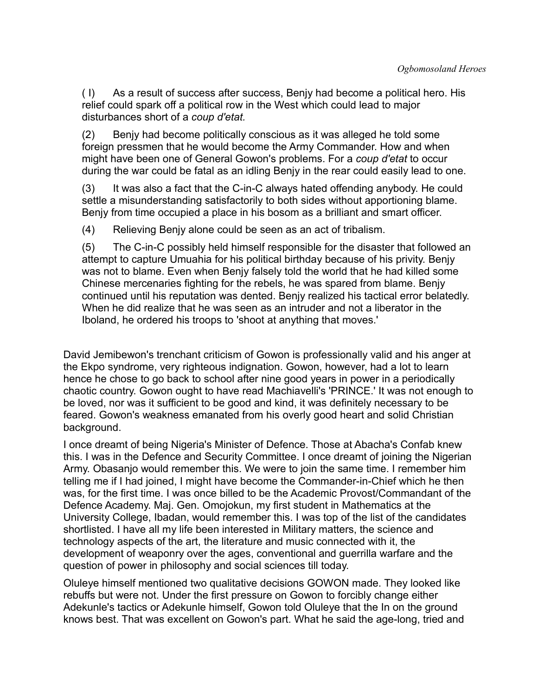( I) As a result of success after success, Benjy had become a political hero. His relief could spark off a political row in the West which could lead to major disturbances short of a *coup d'etat.* 

(2) Benjy had become politically conscious as it was alleged he told some foreign pressmen that he would become the Army Commander. How and when might have been one of General Gowon's problems. For a *coup d'etat* to occur during the war could be fatal as an idling Benjy in the rear could easily lead to one.

(3) It was also a fact that the C-in-C always hated offending anybody. He could settle a misunderstanding satisfactorily to both sides without apportioning blame. Benjy from time occupied a place in his bosom as a brilliant and smart officer.

(4) Relieving Benjy alone could be seen as an act of tribalism.

(5) The C-in-C possibly held himself responsible for the disaster that followed an attempt to capture Umuahia for his political birthday because of his privity. Benjy was not to blame. Even when Benjy falsely told the world that he had killed some Chinese mercenaries fighting for the rebels, he was spared from blame. Benjy continued until his reputation was dented. Benjy realized his tactical error belatedly. When he did realize that he was seen as an intruder and not a liberator in the Iboland, he ordered his troops to 'shoot at anything that moves.'

David Jemibewon's trenchant criticism of Gowon is professionally valid and his anger at the Ekpo syndrome, very righteous indignation. Gowon, however, had a lot to learn hence he chose to go back to school after nine good years in power in a periodically chaotic country. Gowon ought to have read Machiavelli's 'PRINCE.' It was not enough to be loved, nor was it sufficient to be good and kind, it was definitely necessary to be feared. Gowon's weakness emanated from his overly good heart and solid Christian background.

I once dreamt of being Nigeria's Minister of Defence. Those at Abacha's Confab knew this. I was in the Defence and Security Committee. I once dreamt of joining the Nigerian Army. Obasanjo would remember this. We were to join the same time. I remember him telling me if I had joined, I might have become the Commander-in-Chief which he then was, for the first time. I was once billed to be the Academic Provost/Commandant of the Defence Academy. Maj. Gen. Omojokun, my first student in Mathematics at the University College, Ibadan, would remember this. I was top of the list of the candidates shortlisted. I have all my life been interested in Military matters, the science and technology aspects of the art, the literature and music connected with it, the development of weaponry over the ages, conventional and guerrilla warfare and the question of power in philosophy and social sciences till today.

Oluleye himself mentioned two qualitative decisions GOWON made. They looked like rebuffs but were not. Under the first pressure on Gowon to forcibly change either Adekunle's tactics or Adekunle himself, Gowon told Oluleye that the In on the ground knows best. That was excellent on Gowon's part. What he said the age-long, tried and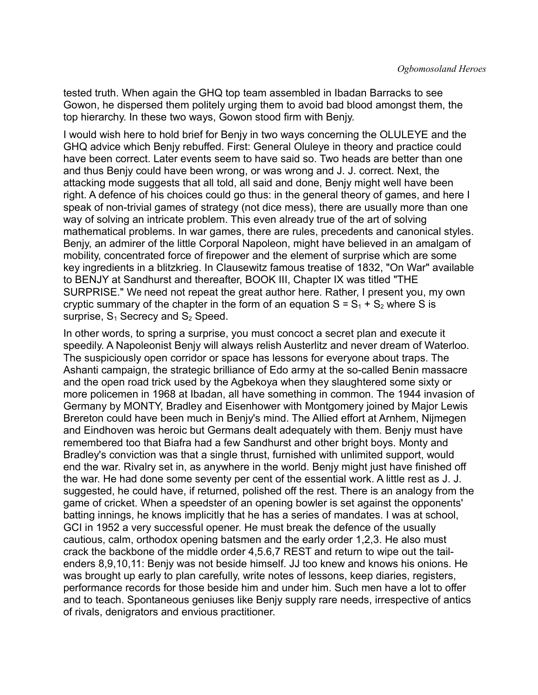tested truth. When again the GHQ top team assembled in Ibadan Barracks to see Gowon, he dispersed them politely urging them to avoid bad blood amongst them, the top hierarchy. In these two ways, Gowon stood firm with Benjy.

I would wish here to hold brief for Benjy in two ways concerning the OLULEYE and the GHQ advice which Benjy rebuffed. First: General Oluleye in theory and practice could have been correct. Later events seem to have said so. Two heads are better than one and thus Benjy could have been wrong, or was wrong and J. J. correct. Next, the attacking mode suggests that all told, all said and done, Benjy might well have been right. A defence of his choices could go thus: in the general theory of games, and here I speak of non-trivial games of strategy (not dice mess), there are usually more than one way of solving an intricate problem. This even already true of the art of solving mathematical problems. In war games, there are rules, precedents and canonical styles. Benjy, an admirer of the little Corporal Napoleon, might have believed in an amalgam of mobility, concentrated force of firepower and the element of surprise which are some key ingredients in a blitzkrieg. In Clausewitz famous treatise of 1832, "On War" available to BENJY at Sandhurst and thereafter, BOOK III, Chapter IX was titled "THE SURPRISE." We need not repeat the great author here. Rather, I present you, my own cryptic summary of the chapter in the form of an equation  $S = S_1 + S_2$  where S is surprise,  $S_1$  Secrecy and  $S_2$  Speed.

In other words, to spring a surprise, you must concoct a secret plan and execute it speedily. A Napoleonist Benjy will always relish Austerlitz and never dream of Waterloo. The suspiciously open corridor or space has lessons for everyone about traps. The Ashanti campaign, the strategic brilliance of Edo army at the so-called Benin massacre and the open road trick used by the Agbekoya when they slaughtered some sixty or more policemen in 1968 at Ibadan, all have something in common. The 1944 invasion of Germany by MONTY, Bradley and Eisenhower with Montgomery joined by Major Lewis Brereton could have been much in Benjy's mind. The Allied effort at Arnhem, Nijmegen and Eindhoven was heroic but Germans dealt adequately with them. Benjy must have remembered too that Biafra had a few Sandhurst and other bright boys. Monty and Bradley's conviction was that a single thrust, furnished with unlimited support, would end the war. Rivalry set in, as anywhere in the world. Benjy might just have finished off the war. He had done some seventy per cent of the essential work. A little rest as J. J. suggested, he could have, if returned, polished off the rest. There is an analogy from the game of cricket. When a speedster of an opening bowler is set against the opponents' batting innings, he knows implicitly that he has a series of mandates. I was at school, GCI in 1952 a very successful opener. He must break the defence of the usually cautious, calm, orthodox opening batsmen and the early order 1,2,3. He also must crack the backbone of the middle order 4,5.6,7 REST and return to wipe out the tailenders 8,9,10,11: Benjy was not beside himself. JJ too knew and knows his onions. He was brought up early to plan carefully, write notes of lessons, keep diaries, registers, performance records for those beside him and under him. Such men have a lot to offer and to teach. Spontaneous geniuses like Benjy supply rare needs, irrespective of antics of rivals, denigrators and envious practitioner.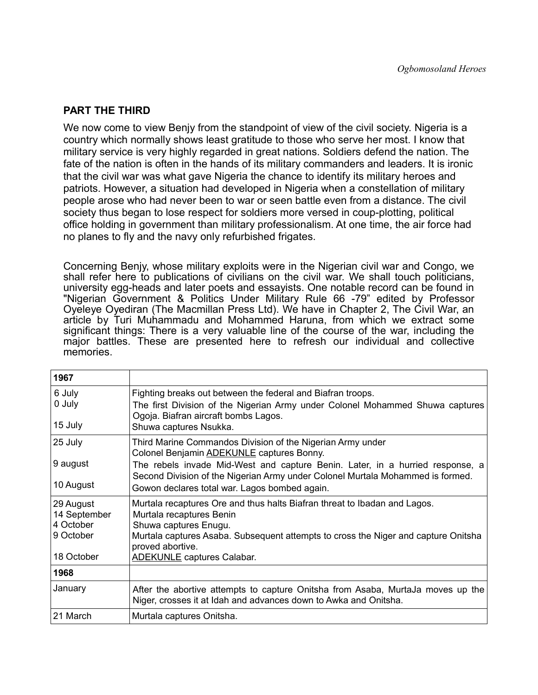#### **PART THE THIRD**

We now come to view Benjy from the standpoint of view of the civil society. Nigeria is a country which normally shows least gratitude to those who serve her most. I know that military service is very highly regarded in great nations. Soldiers defend the nation. The fate of the nation is often in the hands of its military commanders and leaders. It is ironic that the civil war was what gave Nigeria the chance to identify its military heroes and patriots. However, a situation had developed in Nigeria when a constellation of military people arose who had never been to war or seen battle even from a distance. The civil society thus began to lose respect for soldiers more versed in coup-plotting, political office holding in government than military professionalism. At one time, the air force had no planes to fly and the navy only refurbished frigates.

Concerning Benjy, whose military exploits were in the Nigerian civil war and Congo, we shall refer here to publications of civilians on the civil war. We shall touch politicians, university egg-heads and later poets and essayists. One notable record can be found in "Nigerian Government & Politics Under Military Rule 66 -79" edited by Professor Oyeleye Oyediran (The Macmillan Press Ltd). We have in Chapter 2, The Civil War, an article by Turi Muhammadu and Mohammed Haruna, from which we extract some significant things: There is a very valuable line of the course of the war, including the major battles. These are presented here to refresh our individual and collective memories.

| 1967                                                              |                                                                                                                                                                                                                                                                                                                                    |
|-------------------------------------------------------------------|------------------------------------------------------------------------------------------------------------------------------------------------------------------------------------------------------------------------------------------------------------------------------------------------------------------------------------|
| 6 July<br>0 July<br>15 July                                       | Fighting breaks out between the federal and Biafran troops.<br>The first Division of the Nigerian Army under Colonel Mohammed Shuwa captures<br>Ogoja. Biafran aircraft bombs Lagos.<br>Shuwa captures Nsukka.                                                                                                                     |
| 25 July<br>9 august<br>10 August                                  | Third Marine Commandos Division of the Nigerian Army under<br>Colonel Benjamin <b>ADEKUNLE</b> captures Bonny.<br>The rebels invade Mid-West and capture Benin. Later, in a hurried response, a<br>Second Division of the Nigerian Army under Colonel Murtala Mohammed is formed.<br>Gowon declares total war. Lagos bombed again. |
| 29 August<br>14 September<br>4 October<br>9 October<br>18 October | Murtala recaptures Ore and thus halts Biafran threat to Ibadan and Lagos.<br>Murtala recaptures Benin<br>Shuwa captures Enugu.<br>Murtala captures Asaba. Subsequent attempts to cross the Niger and capture Onitsha<br>proved abortive.<br><b>ADEKUNLE</b> captures Calabar.                                                      |
| 1968                                                              |                                                                                                                                                                                                                                                                                                                                    |
| January                                                           | After the abortive attempts to capture Onitsha from Asaba, MurtaJa moves up the<br>Niger, crosses it at Idah and advances down to Awka and Onitsha.                                                                                                                                                                                |
| 21 March                                                          | Murtala captures Onitsha.                                                                                                                                                                                                                                                                                                          |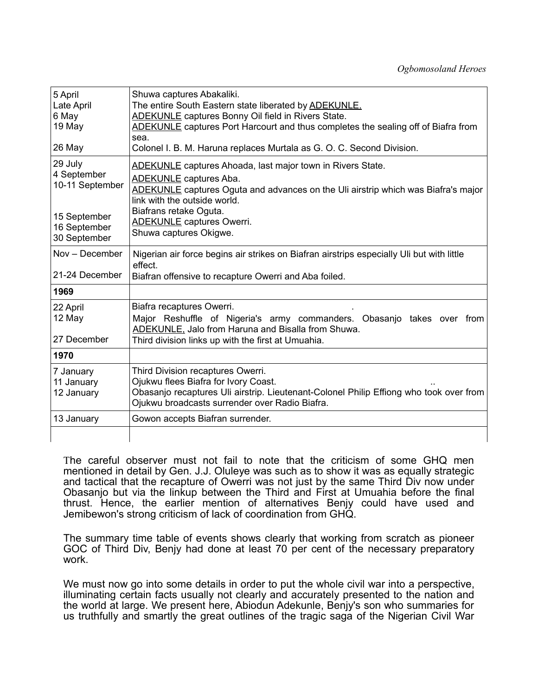| 5 April<br>Late April<br>6 May<br>19 May<br>26 May                                        | Shuwa captures Abakaliki.<br>The entire South Eastern state liberated by <b>ADEKUNLE</b> .<br><b>ADEKUNLE</b> captures Bonny Oil field in Rivers State.<br>ADEKUNLE captures Port Harcourt and thus completes the sealing off of Biafra from<br>sea.<br>Colonel I. B. M. Haruna replaces Murtala as G. O. C. Second Division. |
|-------------------------------------------------------------------------------------------|-------------------------------------------------------------------------------------------------------------------------------------------------------------------------------------------------------------------------------------------------------------------------------------------------------------------------------|
| 29 July<br>4 September<br>10-11 September<br>15 September<br>16 September<br>30 September | <b>ADEKUNLE</b> captures Ahoada, last major town in Rivers State.<br><b>ADEKUNLE</b> captures Aba.<br>ADEKUNLE captures Oguta and advances on the Uli airstrip which was Biafra's major<br>link with the outside world.<br>Biafrans retake Oguta.<br><b>ADEKUNLE</b> captures Owerri.<br>Shuwa captures Okigwe.               |
| Nov - December<br>21-24 December                                                          | Nigerian air force begins air strikes on Biafran airstrips especially Uli but with little<br>effect.<br>Biafran offensive to recapture Owerri and Aba foiled.                                                                                                                                                                 |
| 1969                                                                                      |                                                                                                                                                                                                                                                                                                                               |
| 22 April<br>12 May<br>27 December                                                         | Biafra recaptures Owerri.<br>Major Reshuffle of Nigeria's army commanders. Obasanjo takes over from<br>ADEKUNLE, Jalo from Haruna and Bisalla from Shuwa.<br>Third division links up with the first at Umuahia.                                                                                                               |
| 1970                                                                                      |                                                                                                                                                                                                                                                                                                                               |
| 7 January<br>11 January<br>12 January                                                     | Third Division recaptures Owerri.<br>Ojukwu flees Biafra for Ivory Coast.<br>Obasanjo recaptures Uli airstrip. Lieutenant-Colonel Philip Effiong who took over from<br>Ojukwu broadcasts surrender over Radio Biafra.                                                                                                         |
| 13 January                                                                                | Gowon accepts Biafran surrender.                                                                                                                                                                                                                                                                                              |
|                                                                                           |                                                                                                                                                                                                                                                                                                                               |

The careful observer must not fail to note that the criticism of some GHQ men mentioned in detail by Gen. J.J. Oluleye was such as to show it was as equally strategic and tactical that the recapture of Owerri was not just by the same Third Div now under Obasanjo but via the linkup between the Third and First at Umuahia before the final thrust. Hence, the earlier mention of alternatives Benjy could have used and Jemibewon's strong criticism of lack of coordination from GHQ.

The summary time table of events shows clearly that working from scratch as pioneer GOC of Third Div, Benjy had done at least 70 per cent of the necessary preparatory work.

We must now go into some details in order to put the whole civil war into a perspective, illuminating certain facts usually not clearly and accurately presented to the nation and the world at large. We present here, Abiodun Adekunle, Benjy's son who summaries for us truthfully and smartly the great outlines of the tragic saga of the Nigerian Civil War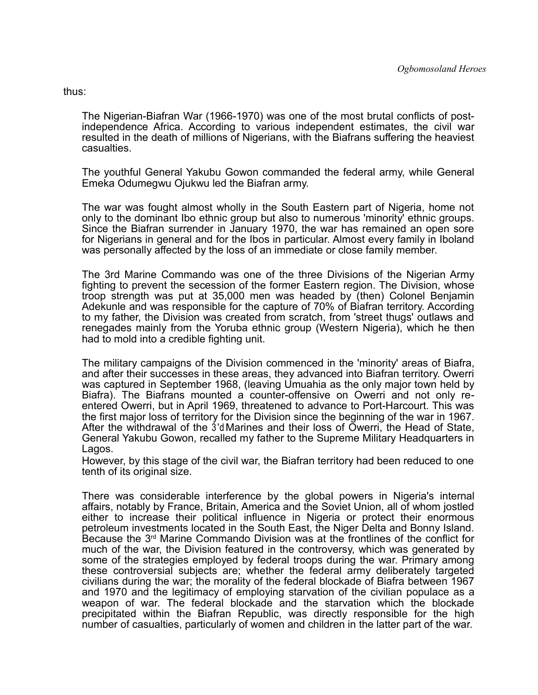thus:

The Nigerian-Biafran War (1966-1970) was one of the most brutal conflicts of postindependence Africa. According to various independent estimates, the civil war resulted in the death of millions of Nigerians, with the Biafrans suffering the heaviest casualties.

The youthful General Yakubu Gowon commanded the federal army, while General Emeka Odumegwu Ojukwu led the Biafran army.

The war was fought almost wholly in the South Eastern part of Nigeria, home not only to the dominant Ibo ethnic group but also to numerous 'minority' ethnic groups. Since the Biafran surrender in January 1970, the war has remained an open sore for Nigerians in general and for the Ibos in particular. Almost every family in Iboland was personally affected by the loss of an immediate or close family member.

The 3rd Marine Commando was one of the three Divisions of the Nigerian Army fighting to prevent the secession of the former Eastern region. The Division, whose troop strength was put at 35,000 men was headed by (then) Colonel Benjamin Adekunle and was responsible for the capture of 70% of Biafran territory. According to my father, the Division was created from scratch, from 'street thugs' outlaws and renegades mainly from the Yoruba ethnic group (Western Nigeria), which he then had to mold into a credible fighting unit.

The military campaigns of the Division commenced in the 'minority' areas of Biafra, and after their successes in these areas, they advanced into Biafran territory. Owerri was captured in September 1968, (leaving Umuahia as the only major town held by Biafra). The Biafrans mounted a counter-offensive on Owerri and not only reentered Owerri, but in April 1969, threatened to advance to Port-Harcourt. This was the first major loss of territory for the Division since the beginning of the war in 1967. After the withdrawal of the 3 'd Marines and their loss of Owerri, the Head of State, General Yakubu Gowon, recalled my father to the Supreme Military Headquarters in Lagos.

However, by this stage of the civil war, the Biafran territory had been reduced to one tenth of its original size.

There was considerable interference by the global powers in Nigeria's internal affairs, notably by France, Britain, America and the Soviet Union, all of whom jostled either to increase their political influence in Nigeria or protect their enormous petroleum investments located in the South East, the Niger Delta and Bonny Island. Because the  $3<sup>rd</sup>$  Marine Commando Division was at the frontlines of the conflict for much of the war, the Division featured in the controversy, which was generated by some of the strategies employed by federal troops during the war. Primary among these controversial subjects are; whether the federal army deliberately targeted civilians during the war; the morality of the federal blockade of Biafra between 1967 and 1970 and the legitimacy of employing starvation of the civilian populace as a weapon of war. The federal blockade and the starvation which the blockade precipitated within the Biafran Republic, was directly responsible for the high number of casualties, particularly of women and children in the latter part of the war.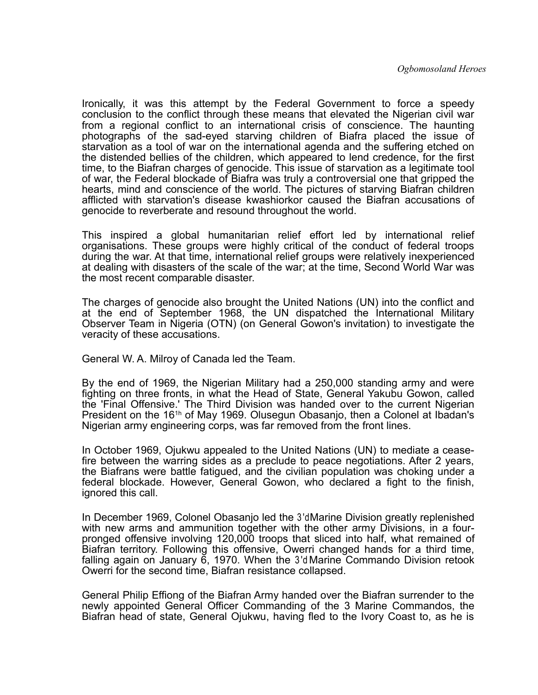Ironically, it was this attempt by the Federal Government to force a speedy conclusion to the conflict through these means that elevated the Nigerian civil war from a regional conflict to an international crisis of conscience. The haunting photographs of the sad-eyed starving children of Biafra placed the issue of starvation as a tool of war on the international agenda and the suffering etched on the distended bellies of the children, which appeared to lend credence, for the first time, to the Biafran charges of genocide. This issue of starvation as a legitimate tool of war, the Federal blockade of Biafra was truly a controversial one that gripped the hearts, mind and conscience of the world. The pictures of starving Biafran children afflicted with starvation's disease kwashiorkor caused the Biafran accusations of genocide to reverberate and resound throughout the world.

This inspired a global humanitarian relief effort led by international relief organisations. These groups were highly critical of the conduct of federal troops during the war. At that time, international relief groups were relatively inexperienced at dealing with disasters of the scale of the war; at the time, Second World War was the most recent comparable disaster.

The charges of genocide also brought the United Nations (UN) into the conflict and at the end of September 1968, the UN dispatched the International Military Observer Team in Nigeria (OTN) (on General Gowon's invitation) to investigate the veracity of these accusations.

General W. A. Milroy of Canada led the Team.

By the end of 1969, the Nigerian Military had a 250,000 standing army and were fighting on three fronts, in what the Head of State, General Yakubu Gowon, called the 'Final Offensive.' The Third Division was handed over to the current Nigerian President on the 161h of May 1969. Olusegun Obasanjo, then a Colonel at Ibadan's Nigerian army engineering corps, was far removed from the front lines.

In October 1969, Ojukwu appealed to the United Nations (UN) to mediate a ceasefire between the warring sides as a preclude to peace negotiations. After 2 years, the Biafrans were battle fatigued, and the civilian population was choking under a federal blockade. However, General Gowon, who declared a fight to the finish, ignored this call.

In December 1969, Colonel Obasanjo led the 3 'd Marine Division greatly replenished with new arms and ammunition together with the other army Divisions, in a fourpronged offensive involving 120,000 troops that sliced into half, what remained of Biafran territory. Following this offensive, Owerri changed hands for a third time, falling again on January 6, 1970. When the 3 'd Marine Commando Division retook Owerri for the second time, Biafran resistance collapsed.

General Philip Effiong of the Biafran Army handed over the Biafran surrender to the newly appointed General Officer Commanding of the 3 Marine Commandos, the Biafran head of state, General Ojukwu, having fled to the Ivory Coast to, as he is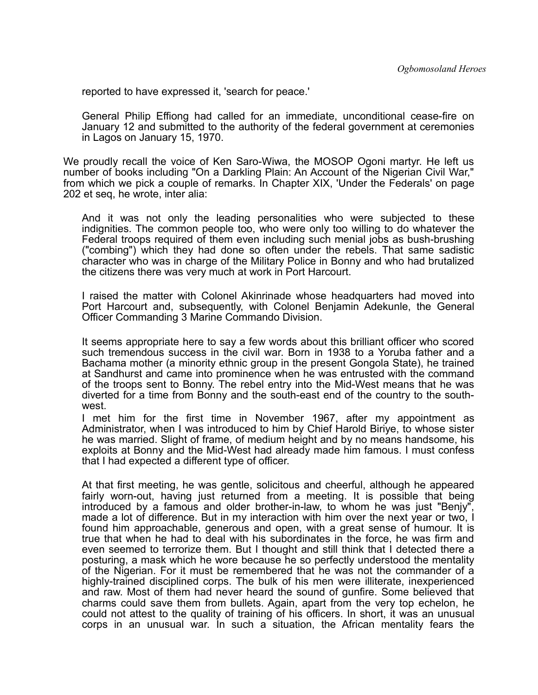reported to have expressed it, 'search for peace.'

General Philip Effiong had called for an immediate, unconditional cease-fire on January 12 and submitted to the authority of the federal government at ceremonies in Lagos on January 15, 1970.

We proudly recall the voice of Ken Saro-Wiwa, the MOSOP Ogoni martyr. He left us number of books including "On a Darkling Plain: An Account of the Nigerian Civil War," from which we pick a couple of remarks. In Chapter XIX, 'Under the Federals' on page 202 et seq, he wrote, inter alia:

And it was not only the leading personalities who were subjected to these indignities. The common people too, who were only too willing to do whatever the Federal troops required of them even including such menial jobs as bush-brushing ("combing") which they had done so often under the rebels. That same sadistic character who was in charge of the Military Police in Bonny and who had brutalized the citizens there was very much at work in Port Harcourt.

I raised the matter with Colonel Akinrinade whose headquarters had moved into Port Harcourt and, subsequently, with Colonel Benjamin Adekunle, the General Officer Commanding 3 Marine Commando Division.

It seems appropriate here to say a few words about this brilliant officer who scored such tremendous success in the civil war. Born in 1938 to a Yoruba father and a Bachama mother (a minority ethnic group in the present Gongola State), he trained at Sandhurst and came into prominence when he was entrusted with the command of the troops sent to Bonny. The rebel entry into the Mid-West means that he was diverted for a time from Bonny and the south-east end of the country to the southwest.

I met him for the first time in November 1967, after my appointment as Administrator, when I was introduced to him by Chief Harold Biriye, to whose sister he was married. Slight of frame, of medium height and by no means handsome, his exploits at Bonny and the Mid-West had already made him famous. I must confess that I had expected a different type of officer.

At that first meeting, he was gentle, solicitous and cheerful, although he appeared fairly worn-out, having just returned from a meeting. It is possible that being introduced by a famous and older brother-in-law, to whom he was just "Benjy", made a lot of difference. But in my interaction with him over the next year or two, I found him approachable, generous and open, with a great sense of humour. It is true that when he had to deal with his subordinates in the force, he was firm and even seemed to terrorize them. But I thought and still think that I detected there a posturing, a mask which he wore because he so perfectly understood the mentality of the Nigerian. For it must be remembered that he was not the commander of a highly-trained disciplined corps. The bulk of his men were illiterate, inexperienced and raw. Most of them had never heard the sound of gunfire. Some believed that charms could save them from bullets. Again, apart from the very top echelon, he could not attest to the quality of training of his officers. In short, it was an unusual corps in an unusual war. In such a situation, the African mentality fears the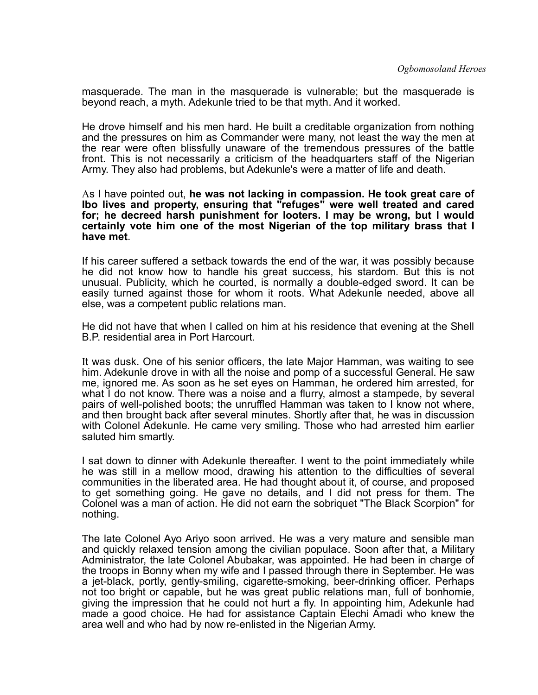masquerade. The man in the masquerade is vulnerable; but the masquerade is beyond reach, a myth. Adekunle tried to be that myth. And it worked.

He drove himself and his men hard. He built a creditable organization from nothing and the pressures on him as Commander were many, not least the way the men at the rear were often blissfully unaware of the tremendous pressures of the battle front. This is not necessarily a criticism of the headquarters staff of the Nigerian Army. They also had problems, but Adekunle's were a matter of life and death.

#### As I have pointed out, **he was not lacking in compassion. He took great care of Ibo lives and property, ensuring that "refuges" were well treated and cared for; he decreed harsh punishment for looters. I may be wrong, but I would certainly vote him one of the most Nigerian of the top military brass that I have met**.

If his career suffered a setback towards the end of the war, it was possibly because he did not know how to handle his great success, his stardom. But this is not unusual. Publicity, which he courted, is normally a double-edged sword. It can be easily turned against those for whom it roots. What Adekunle needed, above all else, was a competent public relations man.

He did not have that when I called on him at his residence that evening at the Shell B.P. residential area in Port Harcourt.

It was dusk. One of his senior officers, the late Major Hamman, was waiting to see him. Adekunle drove in with all the noise and pomp of a successful General. He saw me, ignored me. As soon as he set eyes on Hamman, he ordered him arrested, for what I do not know. There was a noise and a flurry, almost a stampede, by several pairs of well-polished boots; the unruffled Hamman was taken to I know not where, and then brought back after several minutes. Shortly after that, he was in discussion with Colonel Adekunle. He came very smiling. Those who had arrested him earlier saluted him smartly.

I sat down to dinner with Adekunle thereafter. I went to the point immediately while he was still in a mellow mood, drawing his attention to the difficulties of several communities in the liberated area. He had thought about it, of course, and proposed to get something going. He gave no details, and I did not press for them. The Colonel was a man of action. He did not earn the sobriquet "The Black Scorpion" for nothing.

The late Colonel Ayo Ariyo soon arrived. He was a very mature and sensible man and quickly relaxed tension among the civilian populace. Soon after that, a Military Administrator, the late Colonel Abubakar, was appointed. He had been in charge of the troops in Bonny when my wife and I passed through there in September. He was a jet-black, portly, gently-smiling, cigarette-smoking, beer-drinking officer. Perhaps not too bright or capable, but he was great public relations man, full of bonhomie, giving the impression that he could not hurt a fly. In appointing him, Adekunle had made a good choice. He had for assistance Captain Elechi Amadi who knew the area well and who had by now re-enlisted in the Nigerian Army.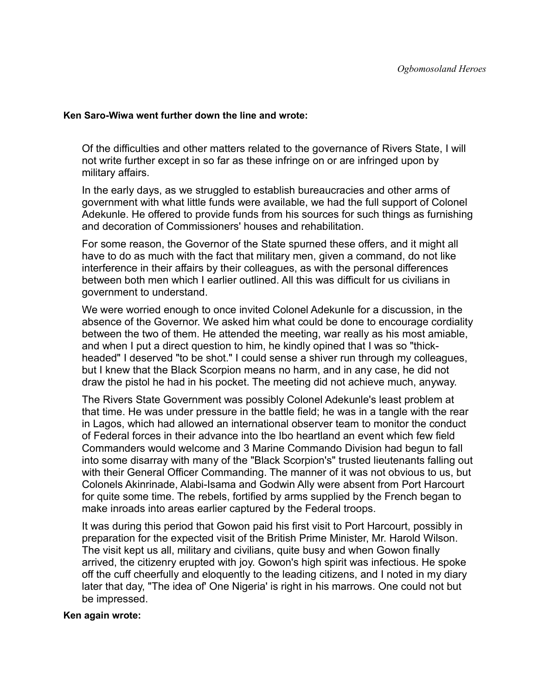#### **Ken Saro-Wiwa went further down the line and wrote:**

Of the difficulties and other matters related to the governance of Rivers State, I will not write further except in so far as these infringe on or are infringed upon by military affairs.

In the early days, as we struggled to establish bureaucracies and other arms of government with what little funds were available, we had the full support of Colonel Adekunle. He offered to provide funds from his sources for such things as furnishing and decoration of Commissioners' houses and rehabilitation.

For some reason, the Governor of the State spurned these offers, and it might all have to do as much with the fact that military men, given a command, do not like interference in their affairs by their colleagues, as with the personal differences between both men which I earlier outlined. All this was difficult for us civilians in government to understand.

We were worried enough to once invited Colonel Adekunle for a discussion, in the absence of the Governor. We asked him what could be done to encourage cordiality between the two of them. He attended the meeting, war really as his most amiable, and when I put a direct question to him, he kindly opined that I was so "thickheaded" I deserved "to be shot." I could sense a shiver run through my colleagues, but I knew that the Black Scorpion means no harm, and in any case, he did not draw the pistol he had in his pocket. The meeting did not achieve much, anyway.

The Rivers State Government was possibly Colonel Adekunle's least problem at that time. He was under pressure in the battle field; he was in a tangle with the rear in Lagos, which had allowed an international observer team to monitor the conduct of Federal forces in their advance into the Ibo heartland an event which few field Commanders would welcome and 3 Marine Commando Division had begun to fall into some disarray with many of the "Black Scorpion's" trusted lieutenants falling out with their General Officer Commanding. The manner of it was not obvious to us, but Colonels Akinrinade, Alabi-Isama and Godwin Ally were absent from Port Harcourt for quite some time. The rebels, fortified by arms supplied by the French began to make inroads into areas earlier captured by the Federal troops.

It was during this period that Gowon paid his first visit to Port Harcourt, possibly in preparation for the expected visit of the British Prime Minister, Mr. Harold Wilson. The visit kept us all, military and civilians, quite busy and when Gowon finally arrived, the citizenry erupted with joy. Gowon's high spirit was infectious. He spoke off the cuff cheerfully and eloquently to the leading citizens, and I noted in my diary later that day, "The idea of' One Nigeria' is right in his marrows. One could not but be impressed.

#### **Ken again wrote:**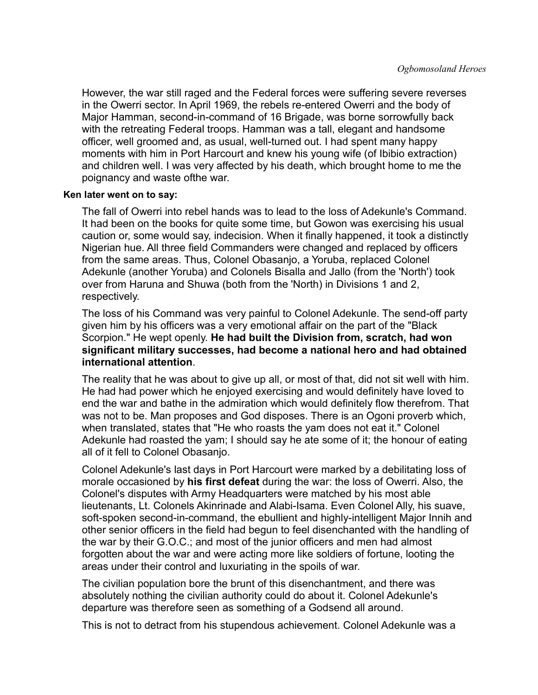However, the war still raged and the Federal forces were suffering severe reverses in the Owerri sector. In April 1969, the rebels re-entered Owerri and the body of Major Hamman, second-in-command of 16 Brigade, was borne sorrowfully back with the retreating Federal troops. Hamman was a tall, elegant and handsome officer, well groomed and, as usual, well-turned out. I had spent many happy moments with him in Port Harcourt and knew his young wife (of Ibibio extraction) and children well. I was very affected by his death, which brought home to me the poignancy and waste ofthe war.

#### **Ken later went on to say:**

The fall of Owerri into rebel hands was to lead to the loss of Adekunle's Command. It had been on the books for quite some time, but Gowon was exercising his usual caution or, some would say, indecision. When it finally happened, it took a distinctly Nigerian hue. All three field Commanders were changed and replaced by officers from the same areas. Thus, Colonel Obasanjo, a Yoruba, replaced Colonel Adekunle (another Yoruba) and Colonels Bisalla and Jallo (from the 'North') took over from Haruna and Shuwa (both from the 'North) in Divisions 1 and 2, respectively.

The loss of his Command was very painful to Colonel Adekunle. The send-off party given him by his officers was a very emotional affair on the part of the "Black Scorpion." He wept openly. **He had built the Division from, scratch, had won significant military successes, had become a national hero and had obtained international attention**.

The reality that he was about to give up all, or most of that, did not sit well with him. He had had power which he enjoyed exercising and would definitely have loved to end the war and bathe in the admiration which would definitely flow therefrom. That was not to be. Man proposes and God disposes. There is an Ogoni proverb which, when translated, states that "He who roasts the yam does not eat it." Colonel Adekunle had roasted the yam; I should say he ate some of it; the honour of eating all of it fell to Colonel Obasanjo.

Colonel Adekunle's last days in Port Harcourt were marked by a debilitating loss of morale occasioned by **his first defeat** during the war: the loss of Owerri. Also, the Colonel's disputes with Army Headquarters were matched by his most able lieutenants, Lt. Colonels Akinrinade and Alabi-Isama. Even Colonel Ally, his suave, soft-spoken second-in-command, the ebullient and highly-intelligent Major Innih and other senior officers in the field had begun to feel disenchanted with the handling of the war by their G.O.C.; and most of the junior officers and men had almost forgotten about the war and were acting more like soldiers of fortune, looting the areas under their control and luxuriating in the spoils of war.

The civilian population bore the brunt of this disenchantment, and there was absolutely nothing the civilian authority could do about it. Colonel Adekunle's departure was therefore seen as something of a Godsend all around.

This is not to detract from his stupendous achievement. Colonel Adekunle was a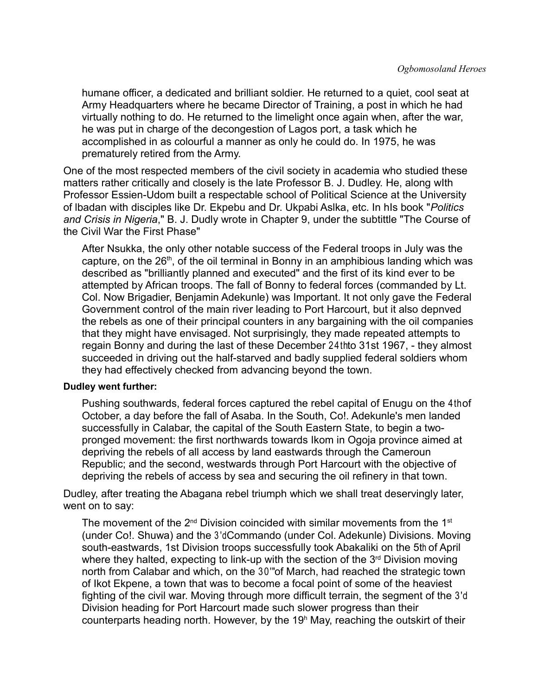humane officer, a dedicated and brilliant soldier. He returned to a quiet, cool seat at Army Headquarters where he became Director of Training, a post in which he had virtually nothing to do. He returned to the limelight once again when, after the war, he was put in charge of the decongestion of Lagos port, a task which he accomplished in as colourful a manner as only he could do. In 1975, he was prematurely retired from the Army.

One of the most respected members of the civil society in academia who studied these matters rather critically and closely is the late Professor B. J. Dudley. He, along wIth Professor Essien-Udom built a respectable school of Political Science at the University of lbadan with disciples like Dr. Ekpebu and Dr. Ukpabi Aslka, etc. In hIs book "*Politics and Crisis in Nigeria*," B. J. Dudly wrote in Chapter 9, under the subtittle "The Course of the Civil War the First Phase"

After Nsukka, the only other notable success of the Federal troops in July was the capture, on the  $26<sup>th</sup>$ , of the oil terminal in Bonny in an amphibious landing which was described as "brilliantly planned and executed" and the first of its kind ever to be attempted by African troops. The fall of Bonny to federal forces (commanded by Lt. Col. Now Brigadier, Benjamin Adekunle) was Important. It not only gave the Federal Government control of the main river leading to Port Harcourt, but it also depnved the rebels as one of their principal counters in any bargaining with the oil companies that they might have envisaged. Not surprisingly, they made repeated attempts to regain Bonny and during the last of these December 24th to 31st 1967, - they almost succeeded in driving out the half-starved and badly supplied federal soldiers whom they had effectively checked from advancing beyond the town.

#### **Dudley went further:**

Pushing southwards, federal forces captured the rebel capital of Enugu on the 4th of October, a day before the fall of Asaba. In the South, Co!. Adekunle's men landed successfully in Calabar, the capital of the South Eastern State, to begin a twopronged movement: the first northwards towards Ikom in Ogoja province aimed at depriving the rebels of all access by land eastwards through the Cameroun Republic; and the second, westwards through Port Harcourt with the objective of depriving the rebels of access by sea and securing the oil refinery in that town.

Dudley, after treating the Abagana rebel triumph which we shall treat deservingly later, went on to say:

The movement of the  $2<sup>nd</sup>$  Division coincided with similar movements from the 1<sup>st</sup> (under Co!. Shuwa) and the 3'd Commando (under Col. Adekunle) Divisions. Moving south-eastwards, 1st Division troops successfully took Abakaliki on the 5th of April where they halted, expecting to link-up with the section of the  $3<sup>rd</sup>$  Division moving north from Calabar and which, on the 30" of March, had reached the strategic town of Ikot Ekpene, a town that was to become a focal point of some of the heaviest fighting of the civil war. Moving through more difficult terrain, the segment of the 3'd Division heading for Port Harcourt made such slower progress than their counterparts heading north. However, by the 19<sup>h</sup> May, reaching the outskirt of their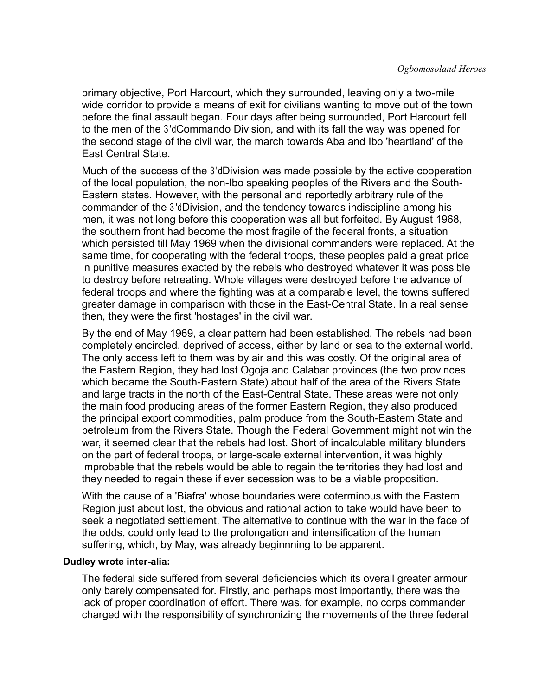primary objective, Port Harcourt, which they surrounded, leaving only a two-mile wide corridor to provide a means of exit for civilians wanting to move out of the town before the final assault began. Four days after being surrounded, Port Harcourt fell to the men of the 3'd Commando Division, and with its fall the way was opened for the second stage of the civil war, the march towards Aba and Ibo 'heartland' of the East Central State.

Much of the success of the 3 dDivision was made possible by the active cooperation of the local population, the non-Ibo speaking peoples of the Rivers and the South-Eastern states. However, with the personal and reportedly arbitrary rule of the commander of the 3 'd Division, and the tendency towards indiscipline among his men, it was not long before this cooperation was all but forfeited. By August 1968, the southern front had become the most fragile of the federal fronts, a situation which persisted till May 1969 when the divisional commanders were replaced. At the same time, for cooperating with the federal troops, these peoples paid a great price in punitive measures exacted by the rebels who destroyed whatever it was possible to destroy before retreating. Whole villages were destroyed before the advance of federal troops and where the fighting was at a comparable level, the towns suffered greater damage in comparison with those in the East-Central State. In a real sense then, they were the first 'hostages' in the civil war.

By the end of May 1969, a clear pattern had been established. The rebels had been completely encircled, deprived of access, either by land or sea to the external world. The only access left to them was by air and this was costly. Of the original area of the Eastern Region, they had lost Ogoja and Calabar provinces (the two provinces which became the South-Eastern State) about half of the area of the Rivers State and large tracts in the north of the East-Central State. These areas were not only the main food producing areas of the former Eastern Region, they also produced the principal export commodities, palm produce from the South-Eastern State and petroleum from the Rivers State. Though the Federal Government might not win the war, it seemed clear that the rebels had lost. Short of incalculable military blunders on the part of federal troops, or large-scale external intervention, it was highly improbable that the rebels would be able to regain the territories they had lost and they needed to regain these if ever secession was to be a viable proposition.

With the cause of a 'Biafra' whose boundaries were coterminous with the Eastern Region just about lost, the obvious and rational action to take would have been to seek a negotiated settlement. The alternative to continue with the war in the face of the odds, could only lead to the prolongation and intensification of the human suffering, which, by May, was already beginnning to be apparent.

#### **Dudley wrote inter-alia:**

The federal side suffered from several deficiencies which its overall greater armour only barely compensated for. Firstly, and perhaps most importantly, there was the lack of proper coordination of effort. There was, for example, no corps commander charged with the responsibility of synchronizing the movements of the three federal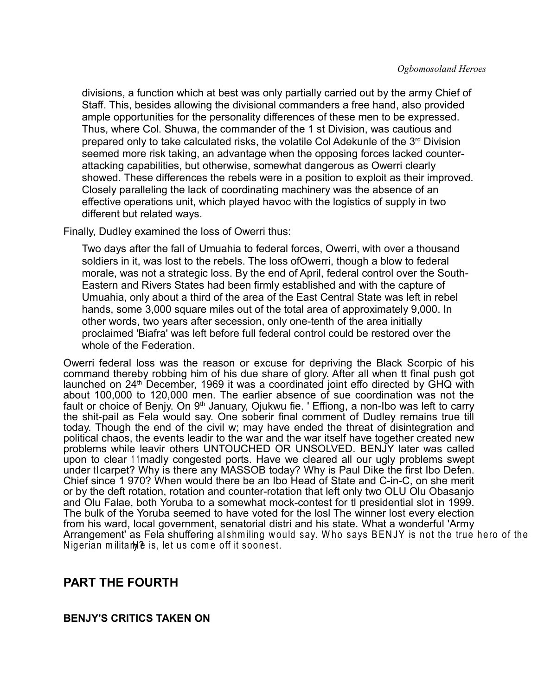divisions, a function which at best was only partially carried out by the army Chief of Staff. This, besides allowing the divisional commanders a free hand, also provided ample opportunities for the personality differences of these men to be expressed. Thus, where Col. Shuwa, the commander of the 1 st Division, was cautious and prepared only to take calculated risks, the volatile Col Adekunle of the  $3<sup>rd</sup>$  Division seemed more risk taking, an advantage when the opposing forces lacked counterattacking capabilities, but otherwise, somewhat dangerous as Owerri clearly showed. These differences the rebels were in a position to exploit as their improved. Closely paralleling the lack of coordinating machinery was the absence of an effective operations unit, which played havoc with the logistics of supply in two different but related ways.

Finally, Dudley examined the loss of Owerri thus:

Two days after the fall of Umuahia to federal forces, Owerri, with over a thousand soldiers in it, was lost to the rebels. The loss ofOwerri, though a blow to federal morale, was not a strategic loss. By the end of April, federal control over the South-Eastern and Rivers States had been firmly established and with the capture of Umuahia, only about a third of the area of the East Central State was left in rebel hands, some 3,000 square miles out of the total area of approximately 9,000. In other words, two years after secession, only one-tenth of the area initially proclaimed 'Biafra' was left before full federal control could be restored over the whole of the Federation.

Owerri federal loss was the reason or excuse for depriving the Black Scorpic of his command thereby robbing him of his due share of glory. After all when tt final push got launched on 24<sup>th</sup> December, 1969 it was a coordinated joint effo directed by GHQ with about 100,000 to 120,000 men. The earlier absence of sue coordination was not the fault or choice of Benjy. On 9<sup>th</sup> January, Ojukwu fie. ' Effiong, a non-Ibo was left to carry the shit-pail as Fela would say. One soberir final comment of Dudley remains true till today. Though the end of the civil w; may have ended the threat of disintegration and political chaos, the events leadir to the war and the war itself have together created new problems while leavir others UNTOUCHED OR UNSOLVED. BENJY later was called upon to clear 11 madly congested ports. Have we cleared all our ugly problems swept under ticarpet? Why is there any MASSOB today? Why is Paul Dike the first Ibo Defen. Chief since 1 970? When would there be an Ibo Head of State and C-in-C, on she merit or by the deft rotation, rotation and counter-rotation that left only two OLU Olu Obasanjo and Olu Falae, both Yoruba to a somewhat mock-contest for tl presidential slot in 1999. The bulk of the Yoruba seemed to have voted for the losl The winner lost every election from his ward, local government, senatorial distri and his state. What a wonderful 'Army Arrangement' as Fela shuffering al shm iling w ould say. W ho says B EN JY is not the true hero of the Nigerian militarhe is, let us come off it soonest.

### **PART THE FOURTH**

#### **BENJY'S CRITICS TAKEN ON**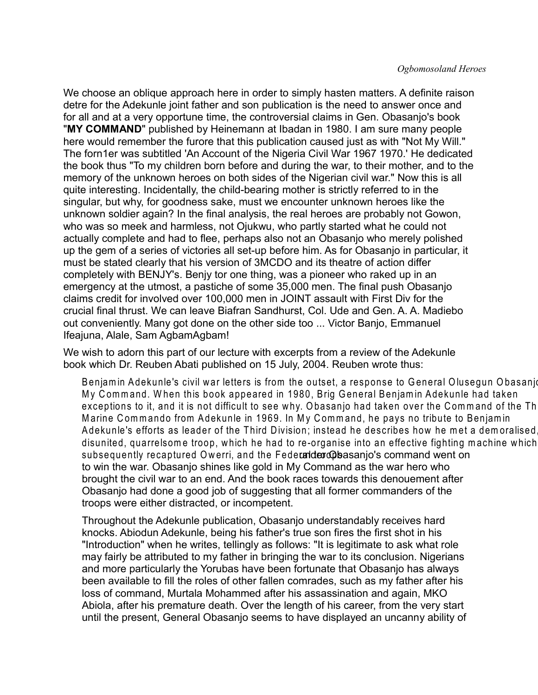We choose an oblique approach here in order to simply hasten matters. A definite raison detre for the Adekunle joint father and son publication is the need to answer once and for all and at a very opportune time, the controversial claims in Gen. Obasanjo's book "**MY COMMAND**" published by Heinemann at Ibadan in 1980. I am sure many people here would remember the furore that this publication caused just as with "Not My Will." The forn1er was subtitled 'An Account of the Nigeria Civil War 1967 1970.' He dedicated the book thus "To my children born before and during the war, to their mother, and to the memory of the unknown heroes on both sides of the Nigerian civil war." Now this is all quite interesting. Incidentally, the child-bearing mother is strictly referred to in the singular, but why, for goodness sake, must we encounter unknown heroes like the unknown soldier again? In the final analysis, the real heroes are probably not Gowon, who was so meek and harmless, not Ojukwu, who partly started what he could not actually complete and had to flee, perhaps also not an Obasanjo who merely polished up the gem of a series of victories all set-up before him. As for Obasanjo in particular, it must be stated clearly that his version of 3MCDO and its theatre of action differ completely with BENJY's. Benjy tor one thing, was a pioneer who raked up in an emergency at the utmost, a pastiche of some 35,000 men. The final push Obasanjo claims credit for involved over 100,000 men in JOINT assault with First Div for the crucial final thrust. We can leave Biafran Sandhurst, Col. Ude and Gen. A. A. Madiebo out conveniently. Many got done on the other side too ... Victor Banjo, Emmanuel Ifeajuna, Alale, Sam AgbamAgbam!

We wish to adorn this part of our lecture with excerpts from a review of the Adekunle book which Dr. Reuben Abati published on 15 July, 2004. Reuben wrote thus:

Benjamin Adekunle's civil war letters is from the outset, a response to General Olusegun Obasanjo My Command. When this book appeared in 1980, Brig General Benjamin Adekunle had taken exceptions to it, and it is not difficult to see why. Obasanjo had taken over the Command of the Th Marine Commando from Adekunle in 1969. In My Command, he pays no tribute to Benjamin Adekunle's efforts as leader of the Third Division; instead he describes how he met a demoralised disunited, quarrelsom e troop, w hich he had to re-organise into an effective fighting m achine w hich subsequently recaptured Owerri, and the Federal derops as an io's command went on to win the war. Obasanjo shines like gold in My Command as the war hero who brought the civil war to an end. And the book races towards this denouement after Obasanjo had done a good job of suggesting that all former commanders of the troops were either distracted, or incompetent.

Throughout the Adekunle publication, Obasanjo understandably receives hard knocks. Abiodun Adekunle, being his father's true son fires the first shot in his "Introduction" when he writes, tellingly as follows: "It is legitimate to ask what role may fairly be attributed to my father in bringing the war to its conclusion. Nigerians and more particularly the Yorubas have been fortunate that Obasanjo has always been available to fill the roles of other fallen comrades, such as my father after his loss of command, Murtala Mohammed after his assassination and again, MKO Abiola, after his premature death. Over the length of his career, from the very start until the present, General Obasanjo seems to have displayed an uncanny ability of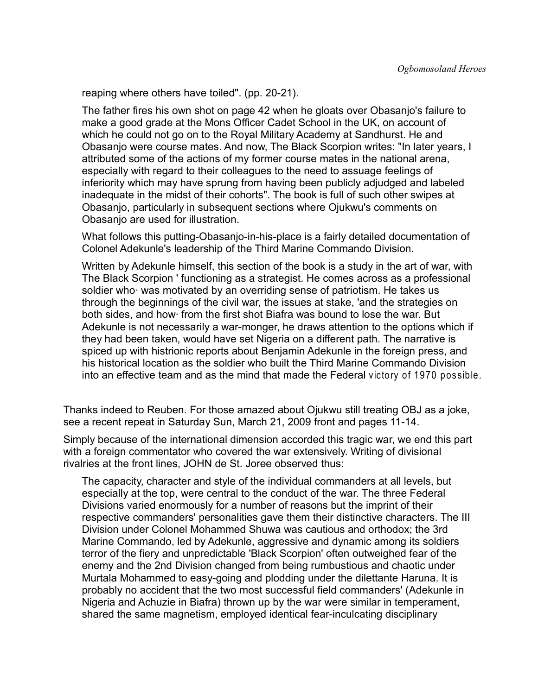reaping where others have toiled". (pp. 20-21).

The father fires his own shot on page 42 when he gloats over Obasanjo's failure to make a good grade at the Mons Officer Cadet School in the UK, on account of which he could not go on to the Royal Military Academy at Sandhurst. He and Obasanjo were course mates. And now, The Black Scorpion writes: "In later years, I attributed some of the actions of my former course mates in the national arena, especially with regard to their colleagues to the need to assuage feelings of inferiority which may have sprung from having been publicly adjudged and labeled inadequate in the midst of their cohorts". The book is full of such other swipes at Obasanjo, particularly in subsequent sections where Ojukwu's comments on Obasanjo are used for illustration.

What follows this putting-Obasanjo-in-his-place is a fairly detailed documentation of Colonel Adekunle's leadership of the Third Marine Commando Division.

Written by Adekunle himself, this section of the book is a study in the art of war, with The Black Scorpion ' functioning as a strategist. He comes across as a professional soldier who was motivated by an overriding sense of patriotism. He takes us through the beginnings of the civil war, the issues at stake, 'and the strategies on both sides, and how· from the first shot Biafra was bound to lose the war. But Adekunle is not necessarily a war-monger, he draws attention to the options which if they had been taken, would have set Nigeria on a different path. The narrative is spiced up with histrionic reports about Benjamin Adekunle in the foreign press, and his historical location as the soldier who built the Third Marine Commando Division into an effective team and as the mind that made the Federal victory of 1970 possible.

Thanks indeed to Reuben. For those amazed about Ojukwu still treating OBJ as a joke, see a recent repeat in Saturday Sun, March 21, 2009 front and pages 11-14.

Simply because of the international dimension accorded this tragic war, we end this part with a foreign commentator who covered the war extensively. Writing of divisional rivalries at the front lines, JOHN de St. Joree observed thus:

The capacity, character and style of the individual commanders at all levels, but especially at the top, were central to the conduct of the war. The three Federal Divisions varied enormously for a number of reasons but the imprint of their respective commanders' personalities gave them their distinctive characters. The III Division under Colonel Mohammed Shuwa was cautious and orthodox; the 3rd Marine Commando, led by Adekunle, aggressive and dynamic among its soldiers terror of the fiery and unpredictable 'Black Scorpion' often outweighed fear of the enemy and the 2nd Division changed from being rumbustious and chaotic under Murtala Mohammed to easy-going and plodding under the dilettante Haruna. It is probably no accident that the two most successful field commanders' (Adekunle in Nigeria and Achuzie in Biafra) thrown up by the war were similar in temperament, shared the same magnetism, employed identical fear-inculcating disciplinary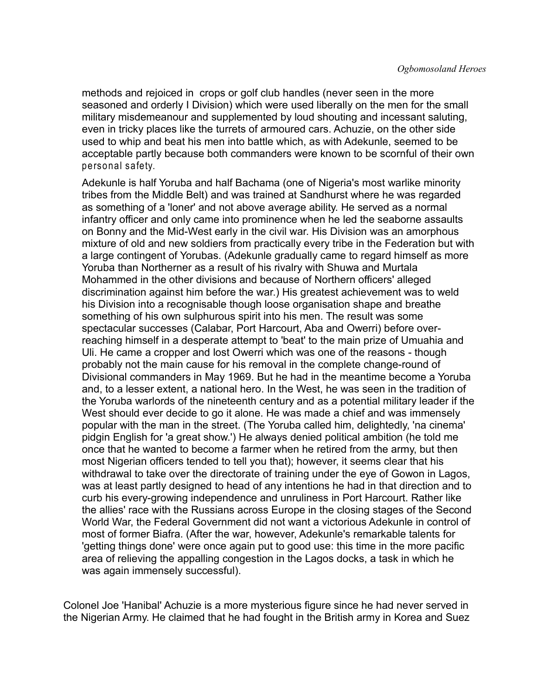methods and rejoiced in crops or golf club handles (never seen in the more seasoned and orderly I Division) which were used liberally on the men for the small military misdemeanour and supplemented by loud shouting and incessant saluting, even in tricky places like the turrets of armoured cars. Achuzie, on the other side used to whip and beat his men into battle which, as with Adekunle, seemed to be acceptable partly because both commanders were known to be scornful of their own personal safety.

Adekunle is half Yoruba and half Bachama (one of Nigeria's most warlike minority tribes from the Middle Belt) and was trained at Sandhurst where he was regarded as something of a 'loner' and not above average ability. He served as a normal infantry officer and only came into prominence when he led the seaborne assaults on Bonny and the Mid-West early in the civil war. His Division was an amorphous mixture of old and new soldiers from practically every tribe in the Federation but with a large contingent of Yorubas. (Adekunle gradually came to regard himself as more Yoruba than Northerner as a result of his rivalry with Shuwa and Murtala Mohammed in the other divisions and because of Northern officers' alleged discrimination against him before the war.) His greatest achievement was to weld his Division into a recognisable though loose organisation shape and breathe something of his own sulphurous spirit into his men. The result was some spectacular successes (Calabar, Port Harcourt, Aba and Owerri) before overreaching himself in a desperate attempt to 'beat' to the main prize of Umuahia and Uli. He came a cropper and lost Owerri which was one of the reasons - though probably not the main cause for his removal in the complete change-round of Divisional commanders in May 1969. But he had in the meantime become a Yoruba and, to a lesser extent, a national hero. In the West, he was seen in the tradition of the Yoruba warlords of the nineteenth century and as a potential military leader if the West should ever decide to go it alone. He was made a chief and was immensely popular with the man in the street. (The Yoruba called him, delightedly, 'na cinema' pidgin English for 'a great show.') He always denied political ambition (he told me once that he wanted to become a farmer when he retired from the army, but then most Nigerian officers tended to tell you that); however, it seems clear that his withdrawal to take over the directorate of training under the eye of Gowon in Lagos, was at least partly designed to head of any intentions he had in that direction and to curb his every-growing independence and unruliness in Port Harcourt. Rather like the allies' race with the Russians across Europe in the closing stages of the Second World War, the Federal Government did not want a victorious Adekunle in control of most of former Biafra. (After the war, however, Adekunle's remarkable talents for 'getting things done' were once again put to good use: this time in the more pacific area of relieving the appalling congestion in the Lagos docks, a task in which he was again immensely successful).

Colonel Joe 'Hanibal' Achuzie is a more mysterious figure since he had never served in the Nigerian Army. He claimed that he had fought in the British army in Korea and Suez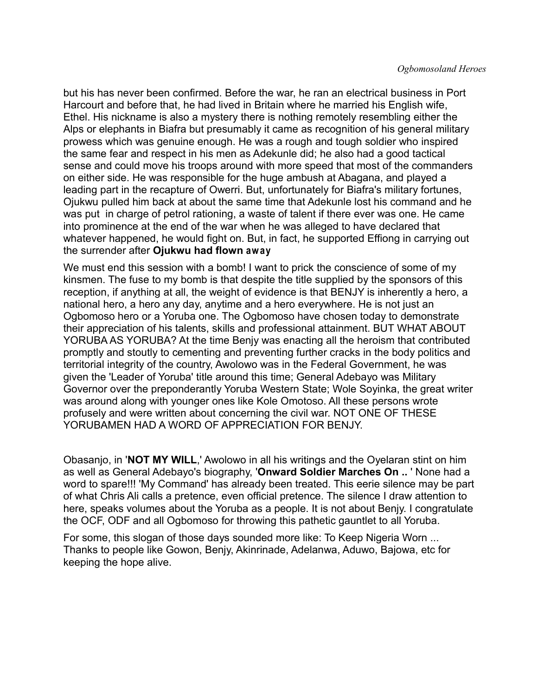but his has never been confirmed. Before the war, he ran an electrical business in Port Harcourt and before that, he had lived in Britain where he married his English wife, Ethel. His nickname is also a mystery there is nothing remotely resembling either the Alps or elephants in Biafra but presumably it came as recognition of his general military prowess which was genuine enough. He was a rough and tough soldier who inspired the same fear and respect in his men as Adekunle did; he also had a good tactical sense and could move his troops around with more speed that most of the commanders on either side. He was responsible for the huge ambush at Abagana, and played a leading part in the recapture of Owerri. But, unfortunately for Biafra's military fortunes, Ojukwu pulled him back at about the same time that Adekunle lost his command and he was put in charge of petrol rationing, a waste of talent if there ever was one. He came into prominence at the end of the war when he was alleged to have declared that whatever happened, he would fight on. But, in fact, he supported Effiong in carrying out the surrender after **Ojukwu had flown aw ay**.

We must end this session with a bomb! I want to prick the conscience of some of my kinsmen. The fuse to my bomb is that despite the title supplied by the sponsors of this reception, if anything at all, the weight of evidence is that BENJY is inherently a hero, a national hero, a hero any day, anytime and a hero everywhere. He is not just an Ogbomoso hero or a Yoruba one. The Ogbomoso have chosen today to demonstrate their appreciation of his talents, skills and professional attainment. BUT WHAT ABOUT YORUBA AS YORUBA? At the time Benjy was enacting all the heroism that contributed promptly and stoutly to cementing and preventing further cracks in the body politics and territorial integrity of the country, Awolowo was in the Federal Government, he was given the 'Leader of Yoruba' title around this time; General Adebayo was Military Governor over the preponderantly Yoruba Western State; Wole Soyinka, the great writer was around along with younger ones like Kole Omotoso. All these persons wrote profusely and were written about concerning the civil war. NOT ONE OF THESE YORUBAMEN HAD A WORD OF APPRECIATION FOR BENJY.

Obasanjo, in '**NOT MY WILL**,' Awolowo in all his writings and the Oyelaran stint on him as well as General Adebayo's biography, '**Onward Soldier Marches On ..** ' None had a word to spare!!! 'My Command' has already been treated. This eerie silence may be part of what Chris Ali calls a pretence, even official pretence. The silence I draw attention to here, speaks volumes about the Yoruba as a people. It is not about Benjy. I congratulate the OCF, ODF and all Ogbomoso for throwing this pathetic gauntlet to all Yoruba.

For some, this slogan of those days sounded more like: To Keep Nigeria Worn ... Thanks to people like Gowon, Benjy, Akinrinade, Adelanwa, Aduwo, Bajowa, etc for keeping the hope alive.